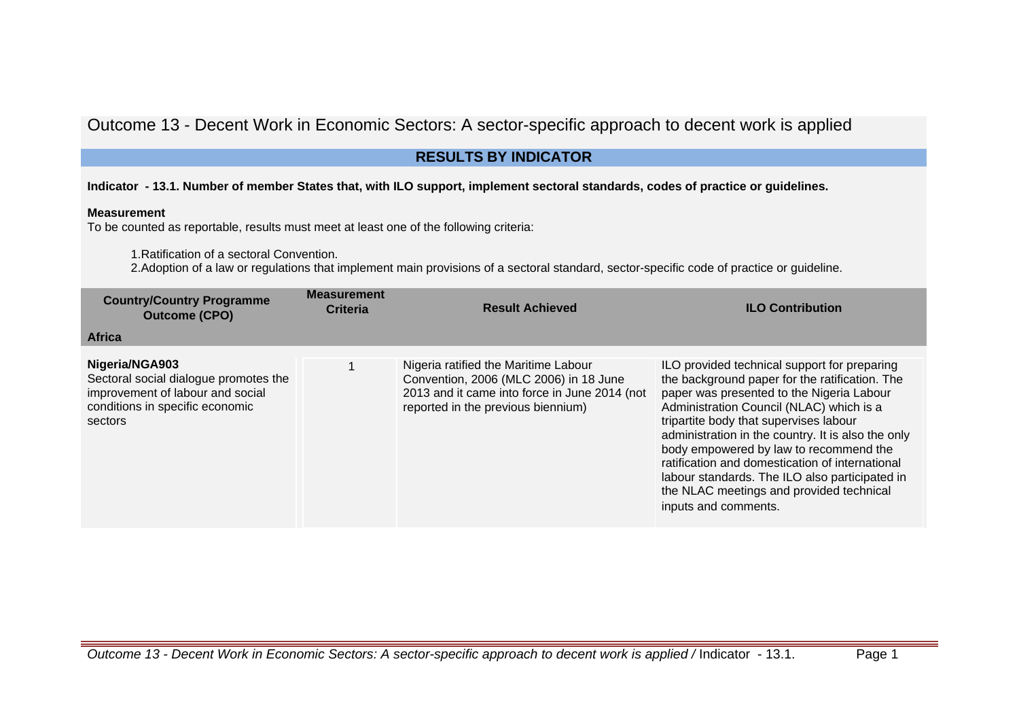# Outcome 13 - Decent Work in Economic Sectors: A sector-specific approach to decent work is applied

# **RESULTS BY INDICATOR**

## **Indicator - 13.1. Number of member States that, with ILO support, implement sectoral standards, codes of practice or guidelines.**

### **Measurement**

To be counted as reportable, results must meet at least one of the following criteria:

1.Ratification of a sectoral Convention.

2.Adoption of a law or regulations that implement main provisions of a sectoral standard, sector-specific code of practice or guideline.

| <b>Country/Country Programme</b><br><b>Outcome (CPO)</b>                                                                                  | <b>Measurement</b><br><b>Criteria</b> | <b>Result Achieved</b>                                                                                                                                                | <b>ILO Contribution</b>                                                                                                                                                                                                                                                                                                                                                                                                                                                                                    |
|-------------------------------------------------------------------------------------------------------------------------------------------|---------------------------------------|-----------------------------------------------------------------------------------------------------------------------------------------------------------------------|------------------------------------------------------------------------------------------------------------------------------------------------------------------------------------------------------------------------------------------------------------------------------------------------------------------------------------------------------------------------------------------------------------------------------------------------------------------------------------------------------------|
| <b>Africa</b>                                                                                                                             |                                       |                                                                                                                                                                       |                                                                                                                                                                                                                                                                                                                                                                                                                                                                                                            |
| Nigeria/NGA903<br>Sectoral social dialogue promotes the<br>improvement of labour and social<br>conditions in specific economic<br>sectors |                                       | Nigeria ratified the Maritime Labour<br>Convention, 2006 (MLC 2006) in 18 June<br>2013 and it came into force in June 2014 (not<br>reported in the previous biennium) | ILO provided technical support for preparing<br>the background paper for the ratification. The<br>paper was presented to the Nigeria Labour<br>Administration Council (NLAC) which is a<br>tripartite body that supervises labour<br>administration in the country. It is also the only<br>body empowered by law to recommend the<br>ratification and domestication of international<br>labour standards. The ILO also participated in<br>the NLAC meetings and provided technical<br>inputs and comments. |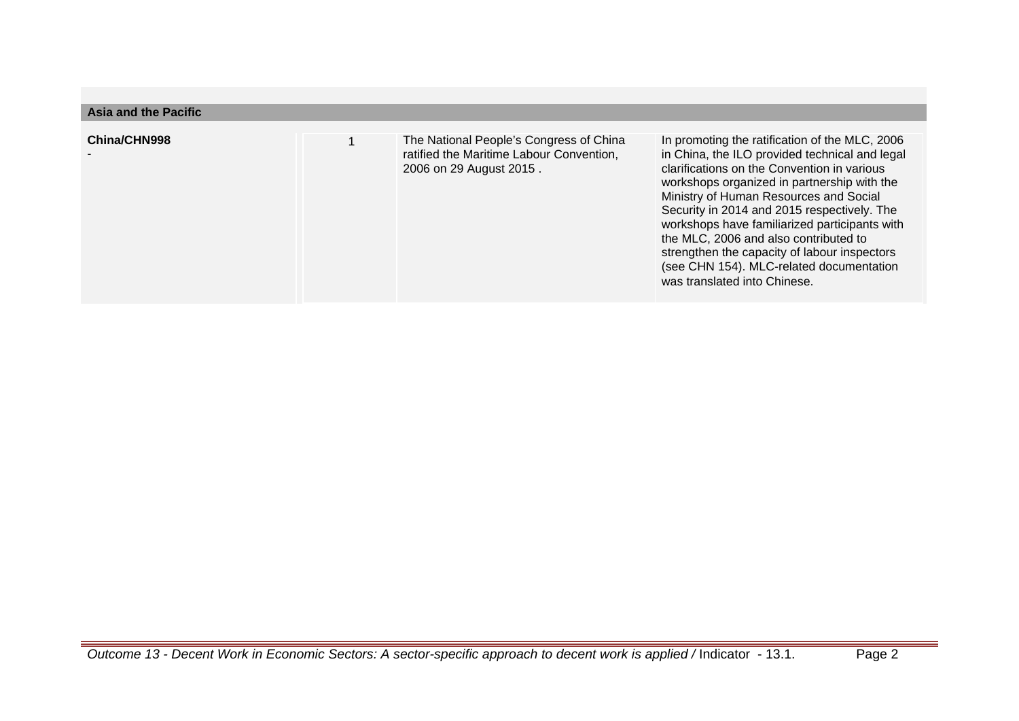| <b>Asia and the Pacific</b> |                                                                                                                |                                                                                                                                                                                                                                                                                                                                                                                                                                                                                                               |
|-----------------------------|----------------------------------------------------------------------------------------------------------------|---------------------------------------------------------------------------------------------------------------------------------------------------------------------------------------------------------------------------------------------------------------------------------------------------------------------------------------------------------------------------------------------------------------------------------------------------------------------------------------------------------------|
| China/CHN998                | The National People's Congress of China<br>ratified the Maritime Labour Convention,<br>2006 on 29 August 2015. | In promoting the ratification of the MLC, 2006<br>in China, the ILO provided technical and legal<br>clarifications on the Convention in various<br>workshops organized in partnership with the<br>Ministry of Human Resources and Social<br>Security in 2014 and 2015 respectively. The<br>workshops have familiarized participants with<br>the MLC, 2006 and also contributed to<br>strengthen the capacity of labour inspectors<br>(see CHN 154). MLC-related documentation<br>was translated into Chinese. |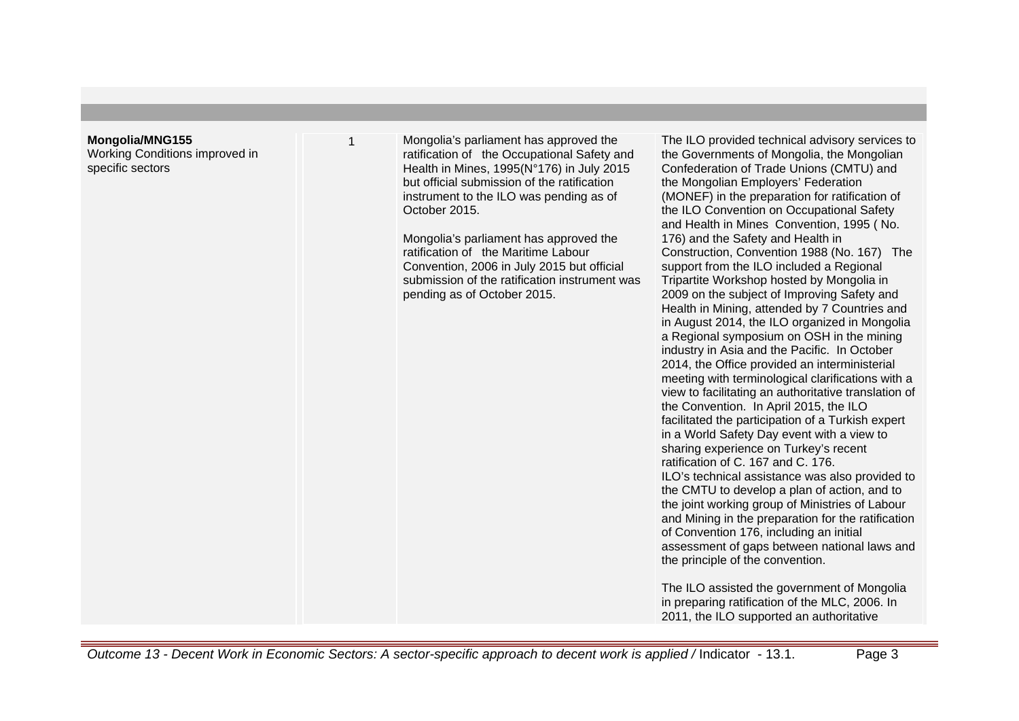#### **Mongolia/MNG155**

Working Conditions improved in specific sectors

1 Mongolia's parliament has approved the ratification of the Occupational Safety and Health in Mines, 1995(N°176) in July 2015 but official submission of the ratification instrument to the ILO was pending as of October 2015.

> Mongolia's parliament has approved the ratification of the Maritime Labour Convention, 2006 in July 2015 but official submission of the ratification instrument was pending as of October 2015.

The ILO provided technical advisory services to the Governments of Mongolia, the Mongolian Confederation of Trade Unions (CMTU) and the Mongolian Employers' Federation (MONEF) in the preparation for ratification of the ILO Convention on Occupational Safety and Health in Mines Convention, 1995 ( No. 176) and the Safety and Health in Construction, Convention 1988 (No. 167) The support from the ILO included a Regional Tripartite Workshop hosted by Mongolia in 2009 on the subject of Improving Safety and Health in Mining, attended by 7 Countries and in August 2014, the ILO organized in Mongolia a Regional symposium on OSH in the mining industry in Asia and the Pacific. In October 2014, the Office provided an interministerial meeting with terminological clarifications with a view to facilitating an authoritative translation of the Convention. In April 2015, the ILO facilitated the participation of a Turkish expert in a World Safety Day event with a view to sharing experience on Turkey's recent ratification of C. 167 and C. 176. ILO's technical assistance was also provided to the CMTU to develop a plan of action, and to the joint working group of Ministries of Labour and Mining in the preparation for the ratification of Convention 176, including an initial assessment of gaps between national laws and the principle of the convention.

The ILO assisted the government of Mongolia in preparing ratification of the MLC, 2006. In 2011, the ILO supported an authoritative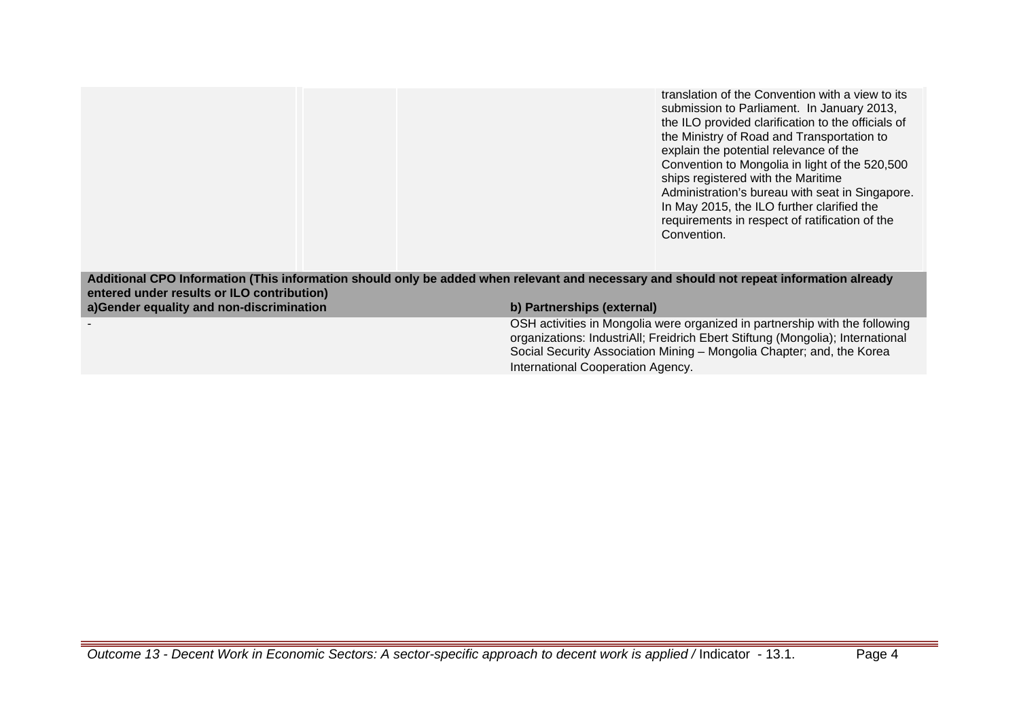translation of the Convention with a view to its submission to Parliament. In January 2013, the ILO provided clarification to the officials of the Ministry of Road and Transportation to explain the potential relevance of the Convention to Mongolia in light of the 520,500 ships registered with the Maritime Administration's bureau with seat in Singapore. In May 2015, the ILO further clarified the requirements in respect of ratification of the Convention.

**Additional CPO Information (This information should only be added when relevant and necessary and should not repeat information already entered under results or ILO contribution) a)Gender equality and non-discrimination b) Partnerships (external)**

> - OSH activities in Mongolia were organized in partnership with the following organizations: IndustriAll; Freidrich Ebert Stiftung (Mongolia); International Social Security Association Mining – Mongolia Chapter; and, the Korea International Cooperation Agency.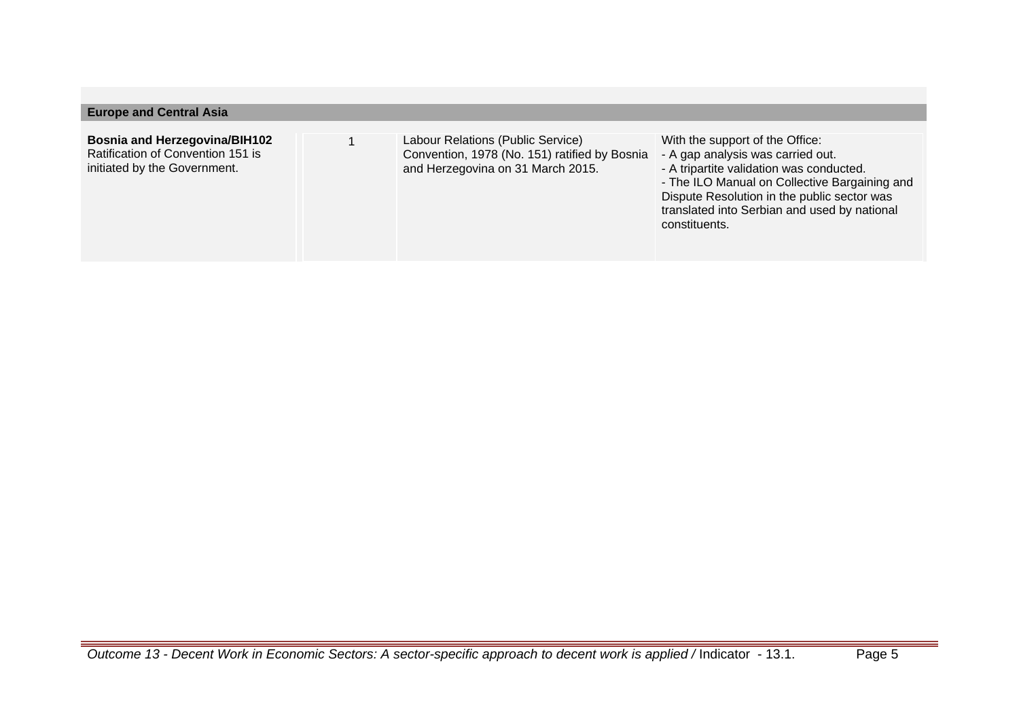| <b>Europe and Central Asia</b>                                                                            |                                                                                                                         |                                                                                                                                                                                                                                                                                   |
|-----------------------------------------------------------------------------------------------------------|-------------------------------------------------------------------------------------------------------------------------|-----------------------------------------------------------------------------------------------------------------------------------------------------------------------------------------------------------------------------------------------------------------------------------|
| <b>Bosnia and Herzegovina/BIH102</b><br>Ratification of Convention 151 is<br>initiated by the Government. | Labour Relations (Public Service)<br>Convention, 1978 (No. 151) ratified by Bosnia<br>and Herzegovina on 31 March 2015. | With the support of the Office:<br>- A gap analysis was carried out.<br>- A tripartite validation was conducted.<br>- The ILO Manual on Collective Bargaining and<br>Dispute Resolution in the public sector was<br>translated into Serbian and used by national<br>constituents. |
|                                                                                                           |                                                                                                                         |                                                                                                                                                                                                                                                                                   |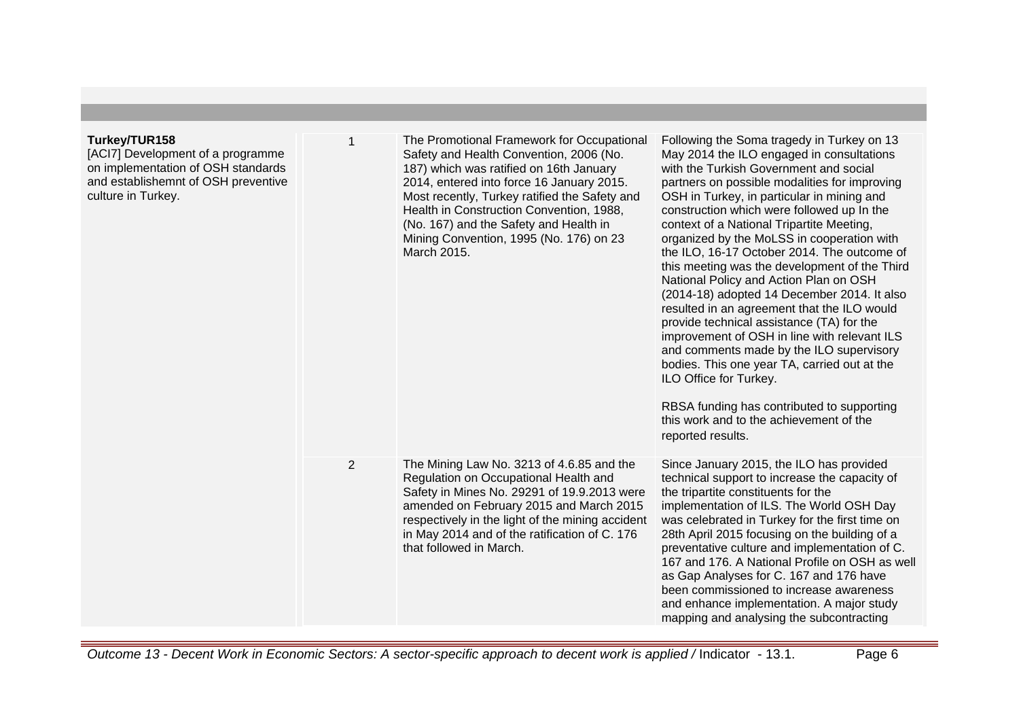| Turkey/TUR158<br>[ACI7] Development of a programme<br>on implementation of OSH standards<br>and establishemnt of OSH preventive<br>culture in Turkey. | 1 | The Promotional Framework for Occupational<br>Safety and Health Convention, 2006 (No.<br>187) which was ratified on 16th January<br>2014, entered into force 16 January 2015.<br>Most recently, Turkey ratified the Safety and<br>Health in Construction Convention, 1988,<br>(No. 167) and the Safety and Health in<br>Mining Convention, 1995 (No. 176) on 23<br>March 2015. | Following the Soma tragedy in Turkey on 13<br>May 2014 the ILO engaged in consultations<br>with the Turkish Government and social<br>partners on possible modalities for improving<br>OSH in Turkey, in particular in mining and<br>construction which were followed up In the<br>context of a National Tripartite Meeting,<br>organized by the MoLSS in cooperation with<br>the ILO, 16-17 October 2014. The outcome of<br>this meeting was the development of the Third<br>National Policy and Action Plan on OSH<br>(2014-18) adopted 14 December 2014. It also<br>resulted in an agreement that the ILO would<br>provide technical assistance (TA) for the<br>improvement of OSH in line with relevant ILS<br>and comments made by the ILO supervisory<br>bodies. This one year TA, carried out at the<br>ILO Office for Turkey.<br>RBSA funding has contributed to supporting<br>this work and to the achievement of the<br>reported results. |
|-------------------------------------------------------------------------------------------------------------------------------------------------------|---|--------------------------------------------------------------------------------------------------------------------------------------------------------------------------------------------------------------------------------------------------------------------------------------------------------------------------------------------------------------------------------|----------------------------------------------------------------------------------------------------------------------------------------------------------------------------------------------------------------------------------------------------------------------------------------------------------------------------------------------------------------------------------------------------------------------------------------------------------------------------------------------------------------------------------------------------------------------------------------------------------------------------------------------------------------------------------------------------------------------------------------------------------------------------------------------------------------------------------------------------------------------------------------------------------------------------------------------------|
|                                                                                                                                                       | 2 | The Mining Law No. 3213 of 4.6.85 and the<br>Regulation on Occupational Health and<br>Safety in Mines No. 29291 of 19.9.2013 were<br>amended on February 2015 and March 2015<br>respectively in the light of the mining accident<br>in May 2014 and of the ratification of C. 176<br>that followed in March.                                                                   | Since January 2015, the ILO has provided<br>technical support to increase the capacity of<br>the tripartite constituents for the<br>implementation of ILS. The World OSH Day<br>was celebrated in Turkey for the first time on<br>28th April 2015 focusing on the building of a<br>preventative culture and implementation of C.<br>167 and 176. A National Profile on OSH as well<br>as Gap Analyses for C. 167 and 176 have<br>been commissioned to increase awareness<br>and enhance implementation. A major study<br>mapping and analysing the subcontracting                                                                                                                                                                                                                                                                                                                                                                                  |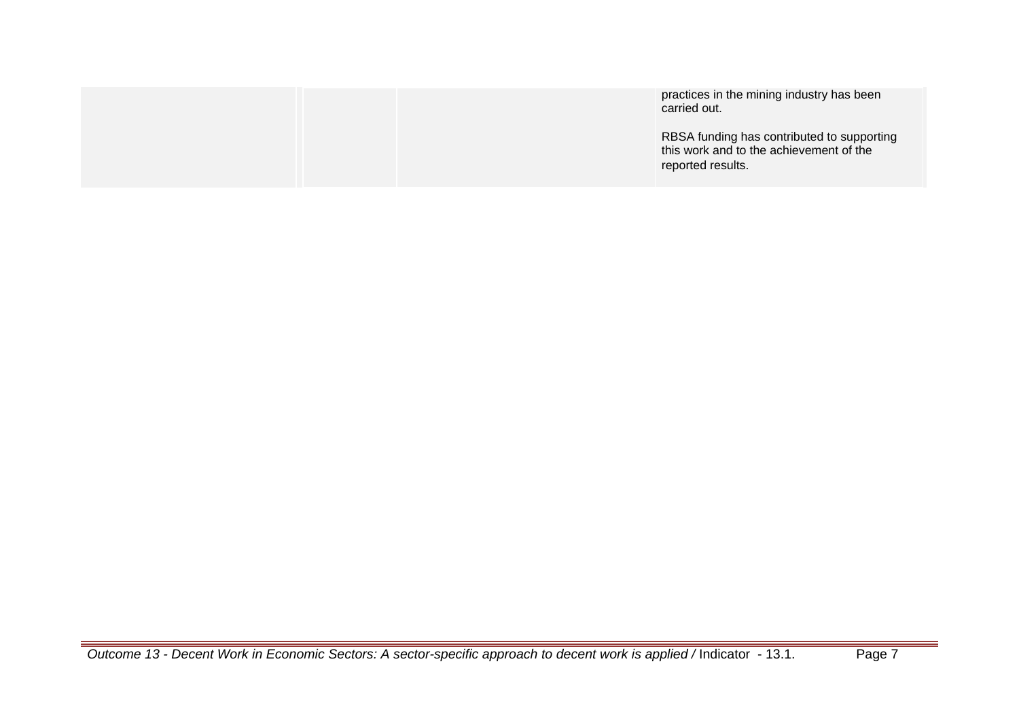|  | practices in the mining industry has been<br>carried out.                                                  |
|--|------------------------------------------------------------------------------------------------------------|
|  | RBSA funding has contributed to supporting<br>this work and to the achievement of the<br>reported results. |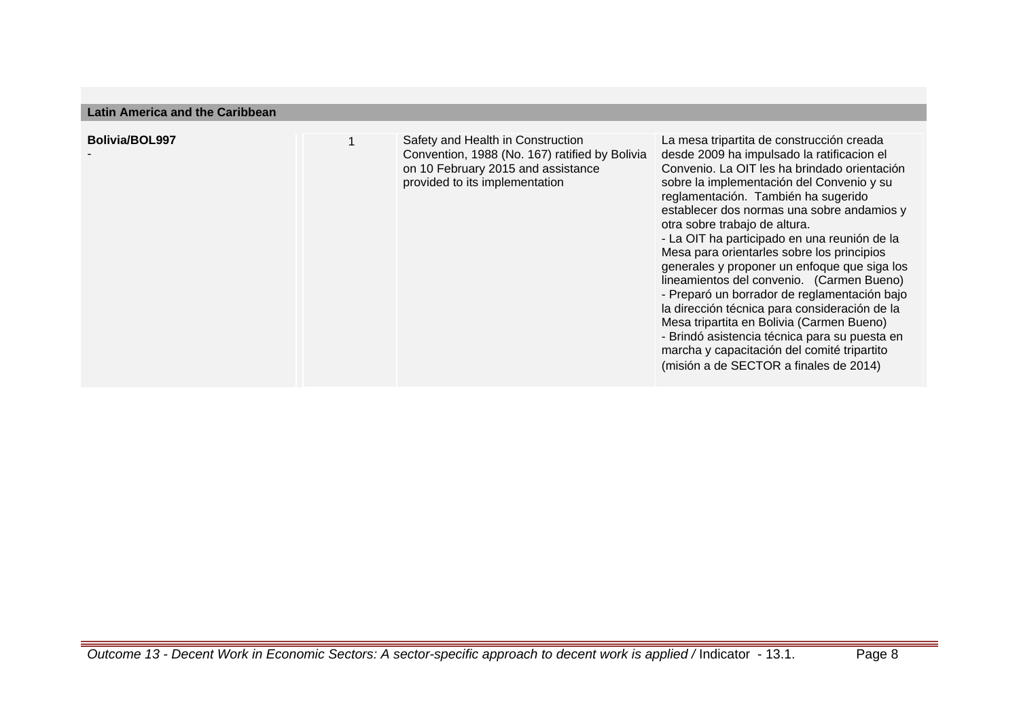| Latill Allienca and the Gambbean |  |                                                                                                                        |                                                                                                                                                                                                                                                                                                                                                                                                                                                                                                                                                                                                                                                                                                                                                  |
|----------------------------------|--|------------------------------------------------------------------------------------------------------------------------|--------------------------------------------------------------------------------------------------------------------------------------------------------------------------------------------------------------------------------------------------------------------------------------------------------------------------------------------------------------------------------------------------------------------------------------------------------------------------------------------------------------------------------------------------------------------------------------------------------------------------------------------------------------------------------------------------------------------------------------------------|
| <b>Bolivia/BOL997</b>            |  | Safety and Health in Construction                                                                                      | La mesa tripartita de construcción creada                                                                                                                                                                                                                                                                                                                                                                                                                                                                                                                                                                                                                                                                                                        |
|                                  |  | Convention, 1988 (No. 167) ratified by Bolivia<br>on 10 February 2015 and assistance<br>provided to its implementation | desde 2009 ha impulsado la ratificacion el<br>Convenio. La OIT les ha brindado orientación<br>sobre la implementación del Convenio y su<br>reglamentación. También ha sugerido<br>establecer dos normas una sobre andamios y<br>otra sobre trabajo de altura.<br>- La OIT ha participado en una reunión de la<br>Mesa para orientarles sobre los principios<br>generales y proponer un enfoque que siga los<br>lineamientos del convenio. (Carmen Bueno)<br>- Preparó un borrador de reglamentación bajo<br>la dirección técnica para consideración de la<br>Mesa tripartita en Bolivia (Carmen Bueno)<br>- Brindó asistencia técnica para su puesta en<br>marcha y capacitación del comité tripartito<br>(misión a de SECTOR a finales de 2014) |

**Latin America and the Caribbean**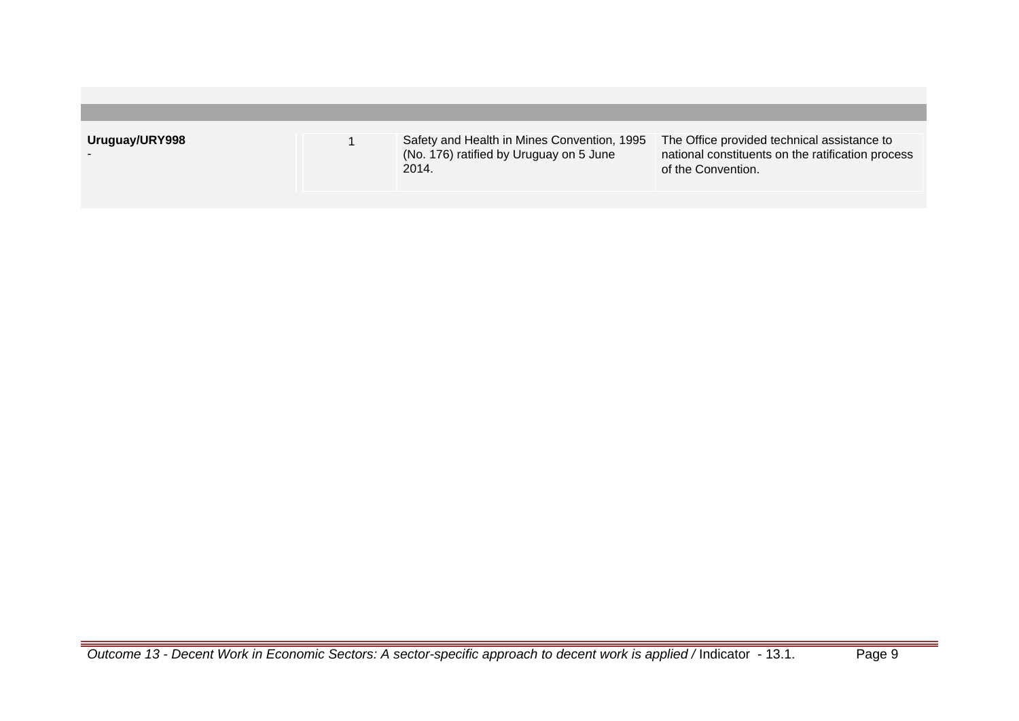| Uruguay/URY998 | Safety and Health in Mines Convention, 1995<br>(No. 176) ratified by Uruguay on 5 June<br>2014. | The Office provided technical assistance to<br>national constituents on the ratification process<br>of the Convention. |
|----------------|-------------------------------------------------------------------------------------------------|------------------------------------------------------------------------------------------------------------------------|
|                |                                                                                                 |                                                                                                                        |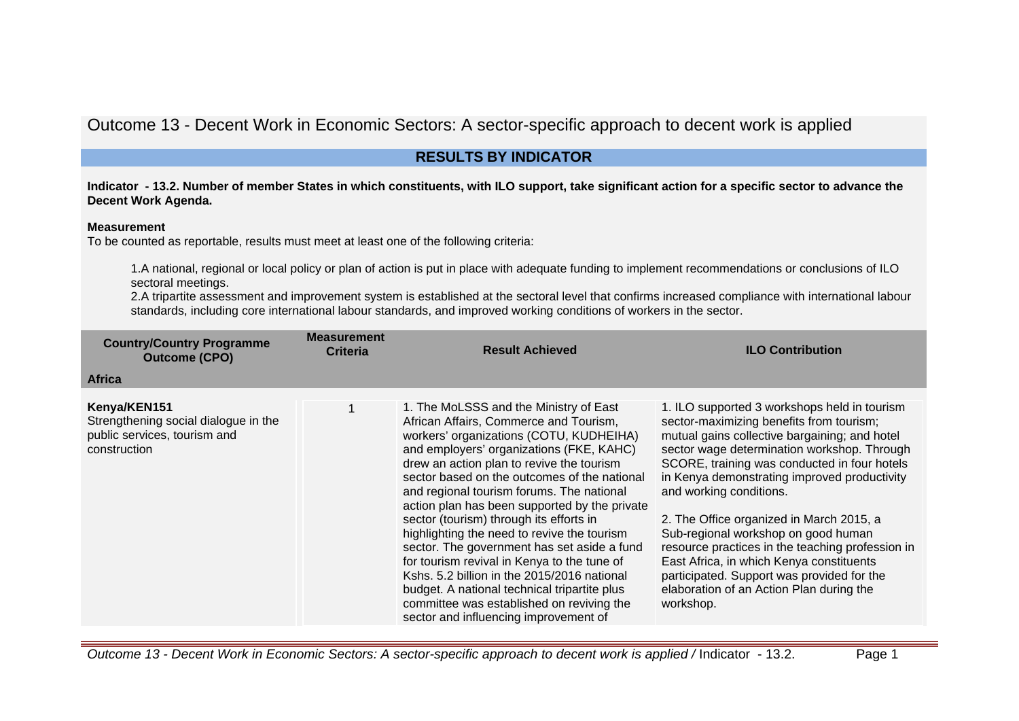# Outcome 13 - Decent Work in Economic Sectors: A sector-specific approach to decent work is applied

# **RESULTS BY INDICATOR**

**Indicator - 13.2. Number of member States in which constituents, with ILO support, take significant action for a specific sector to advance the Decent Work Agenda.**

#### **Measurement**

To be counted as reportable, results must meet at least one of the following criteria:

1.A national, regional or local policy or plan of action is put in place with adequate funding to implement recommendations or conclusions of ILO sectoral meetings.

2.A tripartite assessment and improvement system is established at the sectoral level that confirms increased compliance with international labour standards, including core international labour standards, and improved working conditions of workers in the sector.

| <b>Country/Country Programme</b><br><b>Outcome (CPO)</b>                                             | <b>Measurement</b><br><b>Criteria</b> | <b>Result Achieved</b>                                                                                                                                                                                                                                                                                                                                                                                                                                                                                                                                                                                                                                                                                                                          | <b>ILO Contribution</b>                                                                                                                                                                                                                                                                                                                                                                                                                                                                                                                                                                                       |
|------------------------------------------------------------------------------------------------------|---------------------------------------|-------------------------------------------------------------------------------------------------------------------------------------------------------------------------------------------------------------------------------------------------------------------------------------------------------------------------------------------------------------------------------------------------------------------------------------------------------------------------------------------------------------------------------------------------------------------------------------------------------------------------------------------------------------------------------------------------------------------------------------------------|---------------------------------------------------------------------------------------------------------------------------------------------------------------------------------------------------------------------------------------------------------------------------------------------------------------------------------------------------------------------------------------------------------------------------------------------------------------------------------------------------------------------------------------------------------------------------------------------------------------|
| <b>Africa</b>                                                                                        |                                       |                                                                                                                                                                                                                                                                                                                                                                                                                                                                                                                                                                                                                                                                                                                                                 |                                                                                                                                                                                                                                                                                                                                                                                                                                                                                                                                                                                                               |
| Kenya/KEN151<br>Strengthening social dialogue in the<br>public services, tourism and<br>construction | 1                                     | 1. The MoLSSS and the Ministry of East<br>African Affairs, Commerce and Tourism,<br>workers' organizations (COTU, KUDHEIHA)<br>and employers' organizations (FKE, KAHC)<br>drew an action plan to revive the tourism<br>sector based on the outcomes of the national<br>and regional tourism forums. The national<br>action plan has been supported by the private<br>sector (tourism) through its efforts in<br>highlighting the need to revive the tourism<br>sector. The government has set aside a fund<br>for tourism revival in Kenya to the tune of<br>Kshs. 5.2 billion in the 2015/2016 national<br>budget. A national technical tripartite plus<br>committee was established on reviving the<br>sector and influencing improvement of | 1. ILO supported 3 workshops held in tourism<br>sector-maximizing benefits from tourism;<br>mutual gains collective bargaining; and hotel<br>sector wage determination workshop. Through<br>SCORE, training was conducted in four hotels<br>in Kenya demonstrating improved productivity<br>and working conditions.<br>2. The Office organized in March 2015, a<br>Sub-regional workshop on good human<br>resource practices in the teaching profession in<br>East Africa, in which Kenya constituents<br>participated. Support was provided for the<br>elaboration of an Action Plan during the<br>workshop. |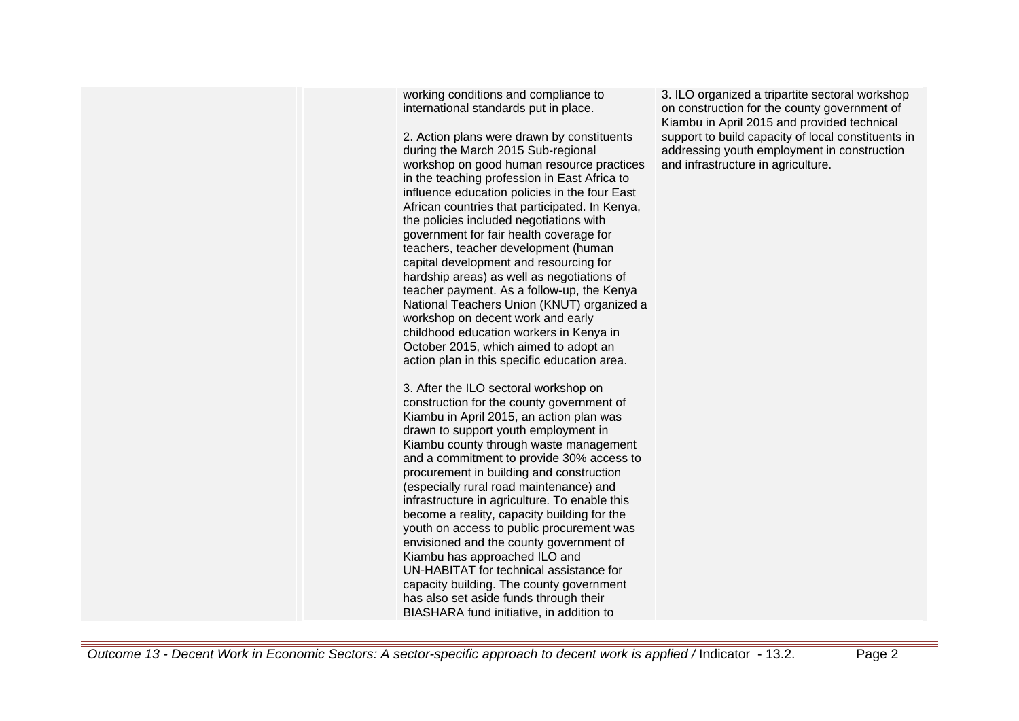working conditions and compliance to international standards put in place.

2. Action plans were drawn by constituents during the March 2015 Sub-regional workshop on good human resource practices in the teaching profession in East Africa to influence education policies in the four East African countries that participated. In Kenya, the policies included negotiations with government for fair health coverage for teachers, teacher development (human capital development and resourcing for hardship areas) as well as negotiations of teacher payment. As a follow-up, the Kenya National Teachers Union (KNUT) organized a workshop on decent work and early childhood education workers in Kenya in October 2015, which aimed to adopt an action plan in this specific education area.

3. After the ILO sectoral workshop on construction for the county government of Kiambu in April 2015, an action plan was drawn to support youth employment in Kiambu county through waste management and a commitment to provide 30% access to procurement in building and construction (especially rural road maintenance) and infrastructure in agriculture. To enable this become a reality, capacity building for the youth on access to public procurement was envisioned and the county government of Kiambu has approached ILO and UN-HABITAT for technical assistance for capacity building. The county government has also set aside funds through their BIASHARA fund initiative, in addition to

3. ILO organized a tripartite sectoral workshop on construction for the county government of Kiambu in April 2015 and provided technical support to build capacity of local constituents in addressing youth employment in construction and infrastructure in agriculture.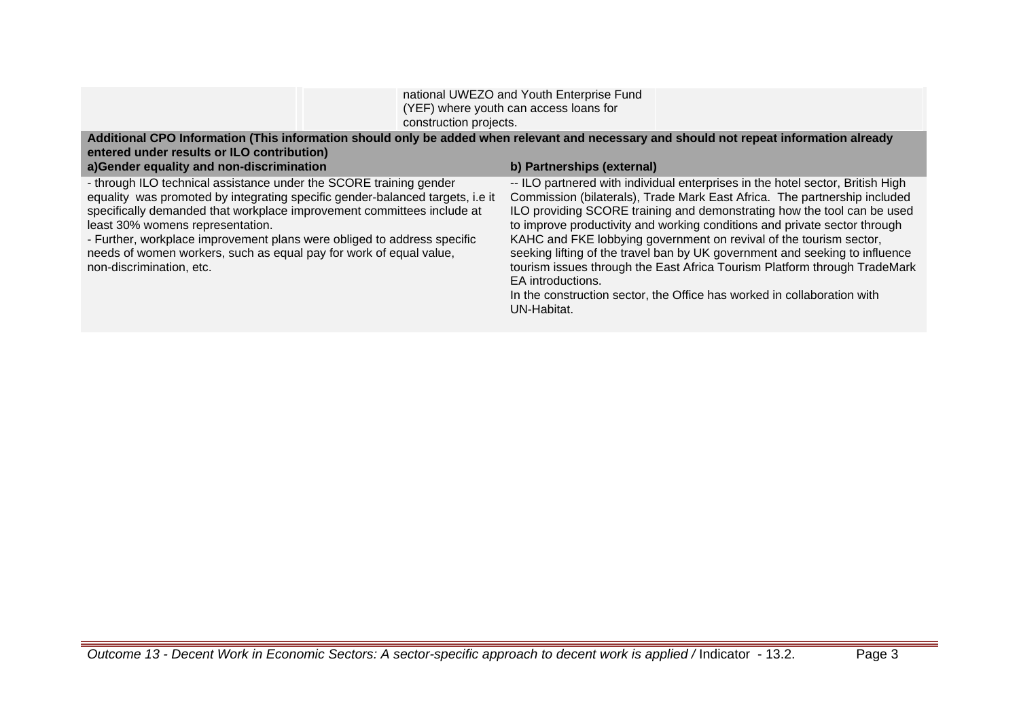| construction projects.                                                                                                                                                                                                                                                                                                                                                                                                                         | national UWEZO and Youth Enterprise Fund<br>(YEF) where youth can access loans for                                                                                                                                                                                                                                                                                                                                                                                                                                                                                         |
|------------------------------------------------------------------------------------------------------------------------------------------------------------------------------------------------------------------------------------------------------------------------------------------------------------------------------------------------------------------------------------------------------------------------------------------------|----------------------------------------------------------------------------------------------------------------------------------------------------------------------------------------------------------------------------------------------------------------------------------------------------------------------------------------------------------------------------------------------------------------------------------------------------------------------------------------------------------------------------------------------------------------------------|
| entered under results or ILO contribution)<br>a)Gender equality and non-discrimination                                                                                                                                                                                                                                                                                                                                                         | Additional CPO Information (This information should only be added when relevant and necessary and should not repeat information already<br>b) Partnerships (external)                                                                                                                                                                                                                                                                                                                                                                                                      |
| - through ILO technical assistance under the SCORE training gender<br>equality was promoted by integrating specific gender-balanced targets, i.e it<br>specifically demanded that workplace improvement committees include at<br>least 30% womens representation.<br>- Further, workplace improvement plans were obliged to address specific<br>needs of women workers, such as equal pay for work of equal value,<br>non-discrimination, etc. | -- ILO partnered with individual enterprises in the hotel sector, British High<br>Commission (bilaterals), Trade Mark East Africa. The partnership included<br>ILO providing SCORE training and demonstrating how the tool can be used<br>to improve productivity and working conditions and private sector through<br>KAHC and FKE lobbying government on revival of the tourism sector,<br>seeking lifting of the travel ban by UK government and seeking to influence<br>tourism issues through the East Africa Tourism Platform through TradeMark<br>EA introductions. |

UN-Habitat.

In the construction sector, the Office has worked in collaboration with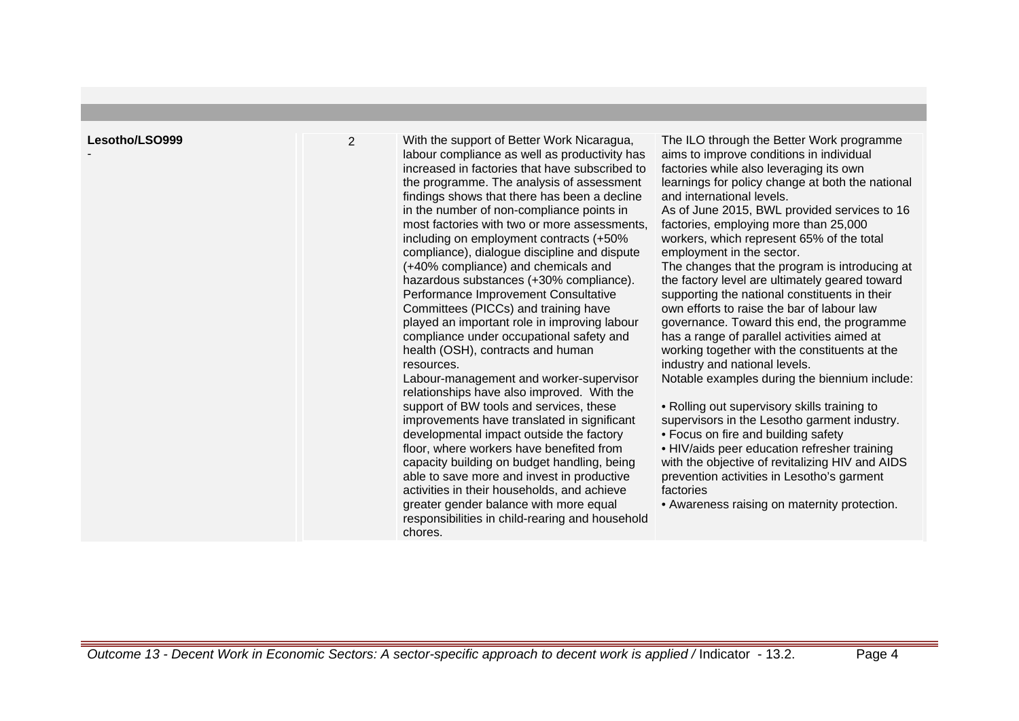| Lesotho/LSO999 |  |
|----------------|--|
|----------------|--|

-

2 With the support of Better Work Nicaragua, labour compliance as well as productivity has increased in factories that have subscribed to the programme. The analysis of assessment findings shows that there has been a decline in the number of non-compliance points in most factories with two or more assessments, including on employment contracts (+50% compliance), dialogue discipline and dispute (+40% compliance) and chemicals and hazardous substances (+30% compliance). Performance Improvement Consultative Committees (PICCs) and training have played an important role in improving labour compliance under occupational safety and health (OSH), contracts and human resources.

Labour-management and worker-supervisor relationships have also improved. With the support of BW tools and services, these improvements have translated in significant developmental impact outside the factory floor, where workers have benefited from capacity building on budget handling, being able to save more and invest in productive activities in their households, and achieve greater gender balance with more equal responsibilities in child-rearing and household chores.

The ILO through the Better Work programme aims to improve conditions in individual factories while also leveraging its own learnings for policy change at both the national and international levels.

As of June 2015, BWL provided services to 16 factories, employing more than 25,000 workers, which represent 65% of the total employment in the sector.

The changes that the program is introducing at the factory level are ultimately geared toward supporting the national constituents in their own efforts to raise the bar of labour law governance. Toward this end, the programme has a range of parallel activities aimed at working together with the constituents at the industry and national levels.

Notable examples during the biennium include:

- Rolling out supervisory skills training to supervisors in the Lesotho garment industry.
- Focus on fire and building safety

• HIV/aids peer education refresher training with the objective of revitalizing HIV and AIDS prevention activities in Lesotho's garment factories

• Awareness raising on maternity protection.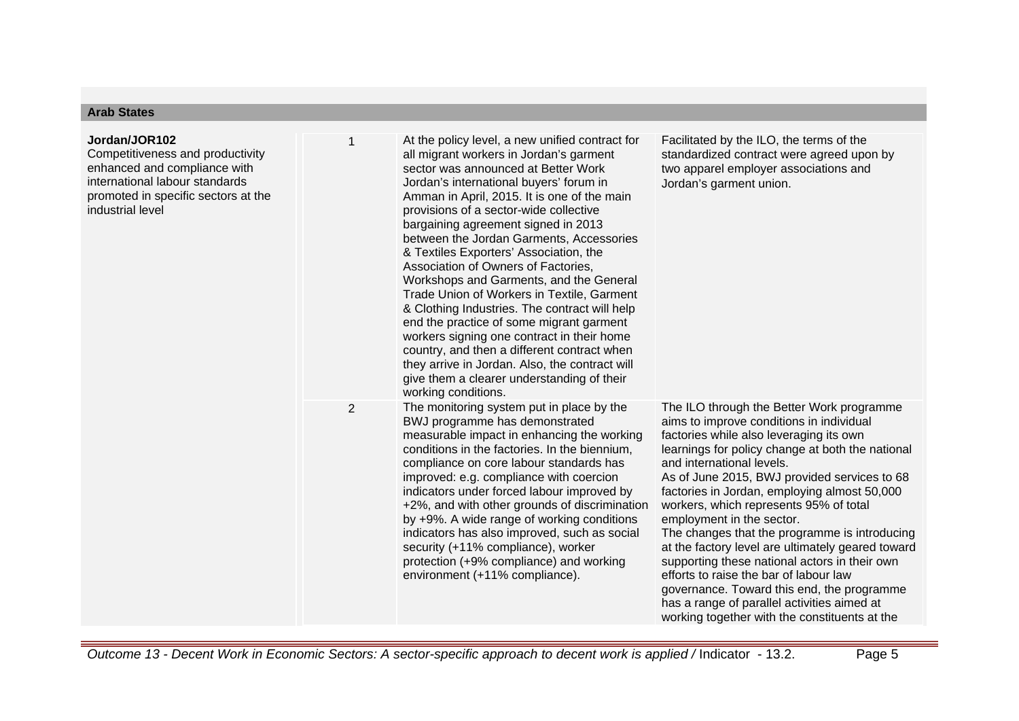## **Arab States**

| Jordan/JOR102<br>Competitiveness and productivity<br>enhanced and compliance with<br>international labour standards<br>promoted in specific sectors at the<br>industrial level | 1              | At the policy level, a new unified contract for<br>all migrant workers in Jordan's garment<br>sector was announced at Better Work<br>Jordan's international buyers' forum in<br>Amman in April, 2015. It is one of the main<br>provisions of a sector-wide collective<br>bargaining agreement signed in 2013<br>between the Jordan Garments, Accessories<br>& Textiles Exporters' Association, the<br>Association of Owners of Factories,<br>Workshops and Garments, and the General<br>Trade Union of Workers in Textile, Garment<br>& Clothing Industries. The contract will help<br>end the practice of some migrant garment<br>workers signing one contract in their home<br>country, and then a different contract when<br>they arrive in Jordan. Also, the contract will<br>give them a clearer understanding of their<br>working conditions. | Facilitated by the ILO, the terms of the<br>standardized contract were agreed upon by<br>two apparel employer associations and<br>Jordan's garment union.                                                                                                                                                                                                                                                                                                                                                                                                                                                                                                                                                                               |
|--------------------------------------------------------------------------------------------------------------------------------------------------------------------------------|----------------|-----------------------------------------------------------------------------------------------------------------------------------------------------------------------------------------------------------------------------------------------------------------------------------------------------------------------------------------------------------------------------------------------------------------------------------------------------------------------------------------------------------------------------------------------------------------------------------------------------------------------------------------------------------------------------------------------------------------------------------------------------------------------------------------------------------------------------------------------------|-----------------------------------------------------------------------------------------------------------------------------------------------------------------------------------------------------------------------------------------------------------------------------------------------------------------------------------------------------------------------------------------------------------------------------------------------------------------------------------------------------------------------------------------------------------------------------------------------------------------------------------------------------------------------------------------------------------------------------------------|
|                                                                                                                                                                                | $\overline{2}$ | The monitoring system put in place by the<br>BWJ programme has demonstrated<br>measurable impact in enhancing the working<br>conditions in the factories. In the biennium,<br>compliance on core labour standards has<br>improved: e.g. compliance with coercion<br>indicators under forced labour improved by<br>+2%, and with other grounds of discrimination<br>by +9%. A wide range of working conditions<br>indicators has also improved, such as social<br>security (+11% compliance), worker<br>protection (+9% compliance) and working<br>environment (+11% compliance).                                                                                                                                                                                                                                                                    | The ILO through the Better Work programme<br>aims to improve conditions in individual<br>factories while also leveraging its own<br>learnings for policy change at both the national<br>and international levels.<br>As of June 2015, BWJ provided services to 68<br>factories in Jordan, employing almost 50,000<br>workers, which represents 95% of total<br>employment in the sector.<br>The changes that the programme is introducing<br>at the factory level are ultimately geared toward<br>supporting these national actors in their own<br>efforts to raise the bar of labour law<br>governance. Toward this end, the programme<br>has a range of parallel activities aimed at<br>working together with the constituents at the |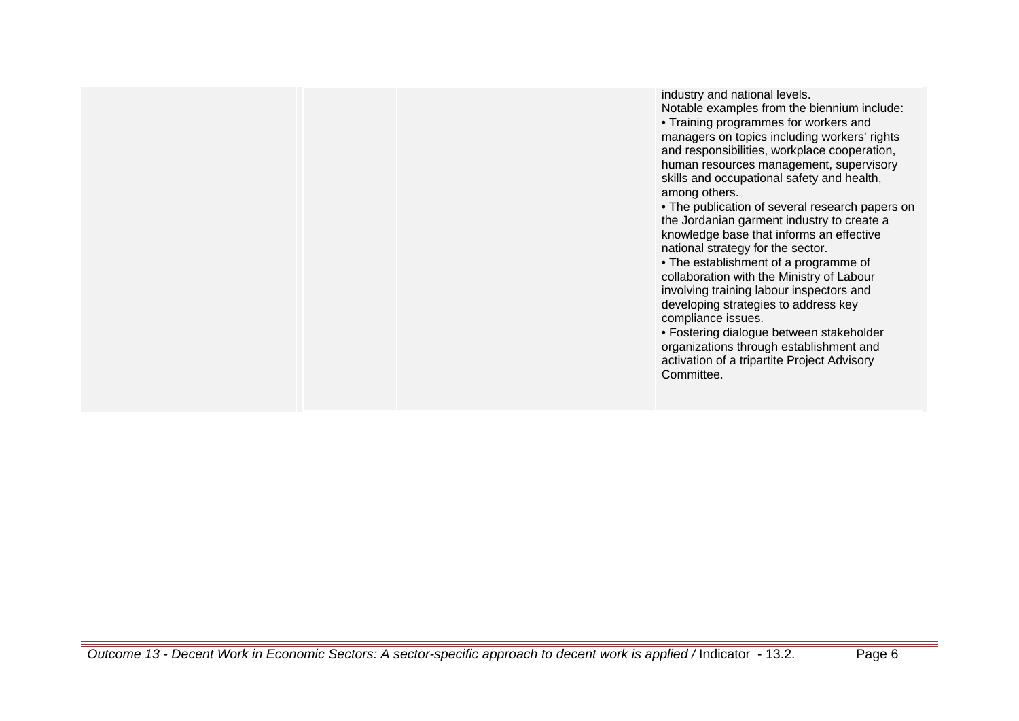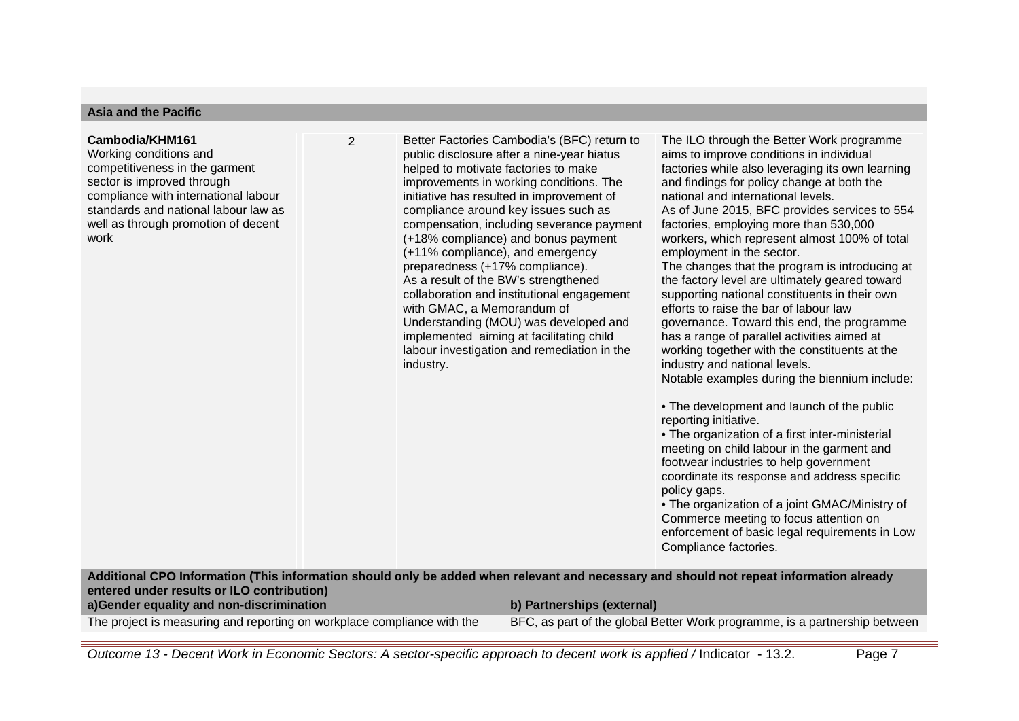#### **Asia and the Pacific**

#### **Cambodia/KHM161**

Working conditions and competitiveness in the garment sector is improved through compliance with international labour standards and national labour law as well as through promotion of decent work

2 Better Factories Cambodia's (BFC) return to public disclosure after a nine-year hiatus helped to motivate factories to make improvements in working conditions. The initiative has resulted in improvement of compliance around key issues such as compensation, including severance payment (+18% compliance) and bonus payment (+11% compliance), and emergency preparedness (+17% compliance). As a result of the BW's strengthened collaboration and institutional engagement with GMAC, a Memorandum of Understanding (MOU) was developed and implemented aiming at facilitating child labour investigation and remediation in the industry.

The ILO through the Better Work programme aims to improve conditions in individual factories while also leveraging its own learning and findings for policy change at both the national and international levels. As of June 2015, BFC provides services to 554 factories, employing more than 530,000 workers, which represent almost 100% of total employment in the sector. The changes that the program is introducing at the factory level are ultimately geared toward supporting national constituents in their own efforts to raise the bar of labour law governance. Toward this end, the programme has a range of parallel activities aimed at working together with the constituents at the

industry and national levels.

Notable examples during the biennium include:

• The development and launch of the public reporting initiative.

• The organization of a first inter-ministerial meeting on child labour in the garment and footwear industries to help government coordinate its response and address specific policy gaps.

• The organization of a joint GMAC/Ministry of Commerce meeting to focus attention on enforcement of basic legal requirements in Low Compliance factories.

**Additional CPO Information (This information should only be added when relevant and necessary and should not repeat information already entered under results or ILO contribution)**

**a)Gender equality and non-discrimination b) Partnerships (external)**

The project is measuring and reporting on workplace compliance with the BFC, as part of the global Better Work programme, is a partnership between

Outcome 13 - Decent Work in Economic Sectors: A sector-specific approach to decent work is applied / Indicator - 13.2. Page 7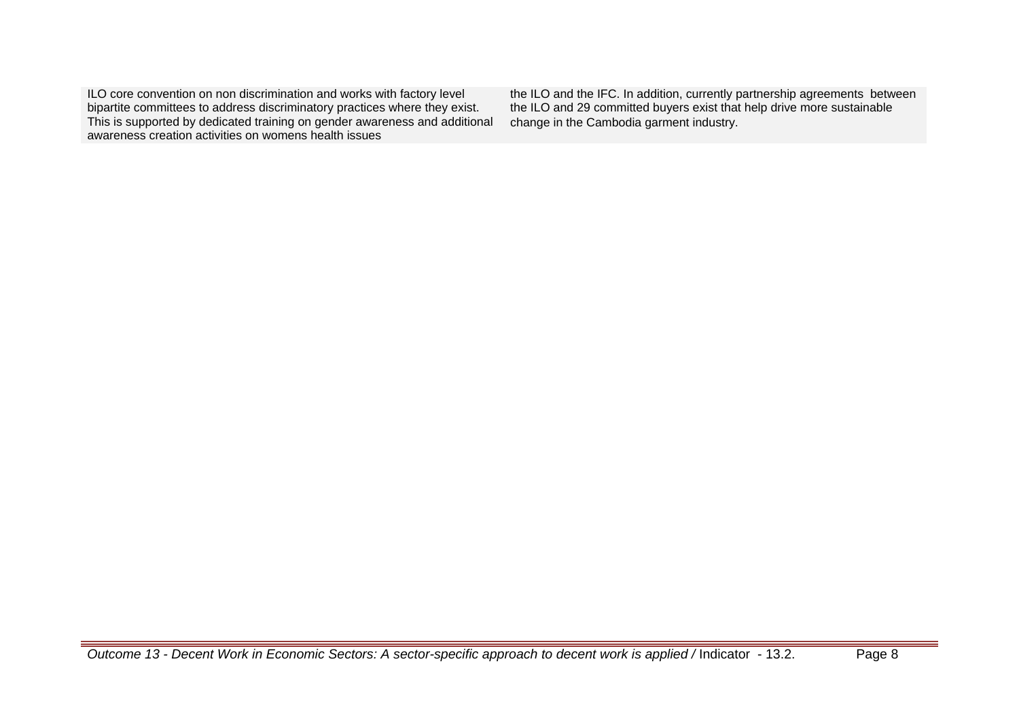ILO core convention on non discrimination and works with factory level bipartite committees to address discriminatory practices where they exist. This is supported by dedicated training on gender awareness and additional awareness creation activities on womens health issues

the ILO and the IFC. In addition, currently partnership agreements between the ILO and 29 committed buyers exist that help drive more sustainable change in the Cambodia garment industry.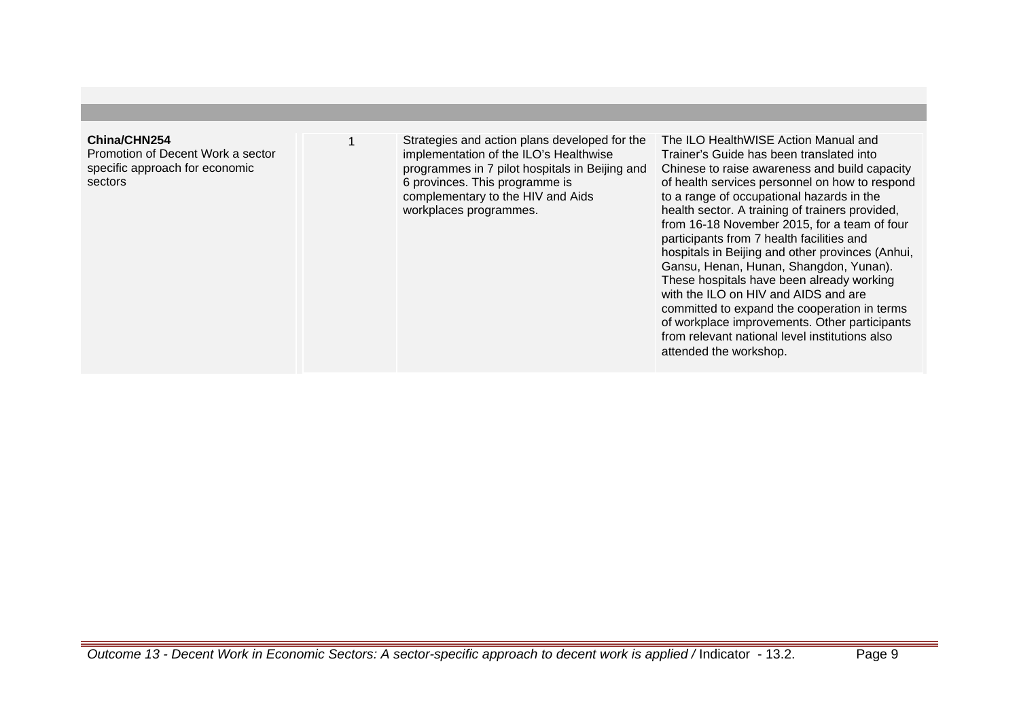#### **China/CHN254**

Promotion of Decent Work a sector specific approach for economic sectors

Strategies and action plans developed for the implementation of the ILO's Healthwise programmes in 7 pilot hospitals in Beijing and 6 provinces. This programme is complementary to the HIV and Aids workplaces programmes.

The ILO HealthWISE Action Manual and Trainer's Guide has been translated into Chinese to raise awareness and build capacity of health services personnel on how to respond to a range of occupational hazards in the health sector. A training of trainers provided, from 16-18 November 2015, for a team of four participants from 7 health facilities and hospitals in Beijing and other provinces (Anhui, Gansu, Henan, Hunan, Shangdon, Yunan). These hospitals have been already working with the ILO on HIV and AIDS and are committed to expand the cooperation in terms of workplace improvements. Other participants from relevant national level institutions also attended the workshop.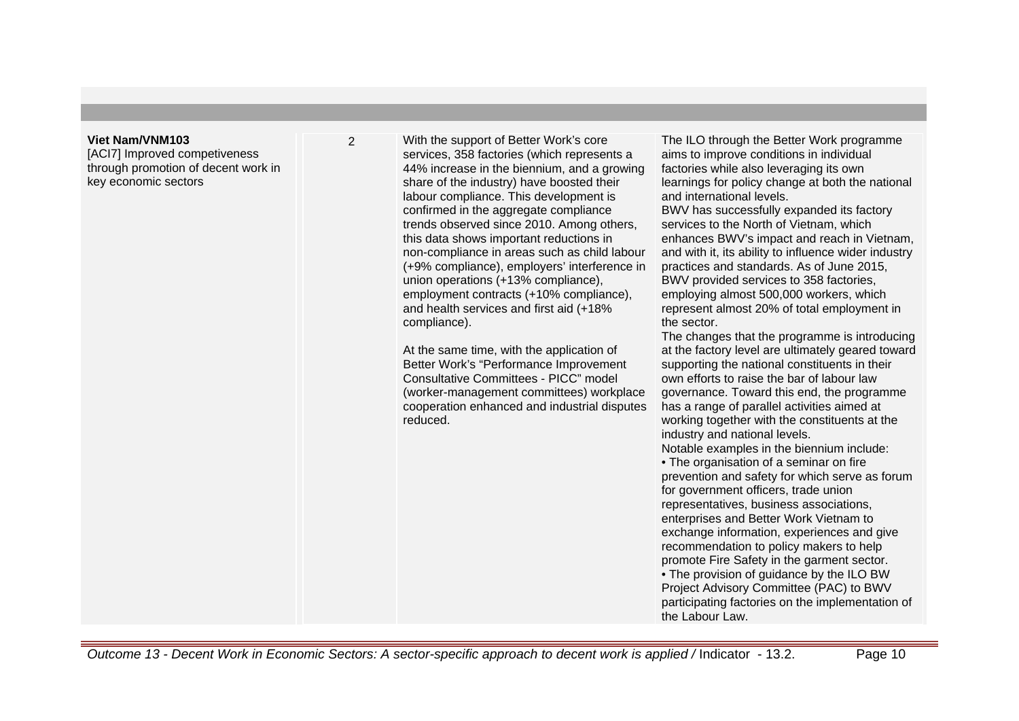#### **Viet Nam/VNM103**

[ACI7] Improved competiveness through promotion of decent work in key economic sectors

2 With the support of Better Work's core services, 358 factories (which represents a 44% increase in the biennium, and a growing share of the industry) have boosted their labour compliance. This development is confirmed in the aggregate compliance trends observed since 2010. Among others, this data shows important reductions in non-compliance in areas such as child labour (+9% compliance), employers' interference in union operations (+13% compliance), employment contracts (+10% compliance), and health services and first aid (+18% compliance).

> At the same time, with the application of Better Work's "Performance Improvement Consultative Committees - PICC" model (worker-management committees) workplace cooperation enhanced and industrial disputes reduced.

The ILO through the Better Work programme aims to improve conditions in individual factories while also leveraging its own learnings for policy change at both the national and international levels.

BWV has successfully expanded its factory services to the North of Vietnam, which enhances BWV's impact and reach in Vietnam, and with it, its ability to influence wider industry practices and standards. As of June 2015, BWV provided services to 358 factories, employing almost 500,000 workers, which represent almost 20% of total employment in the sector.

The changes that the programme is introducing at the factory level are ultimately geared toward supporting the national constituents in their own efforts to raise the bar of labour law governance. Toward this end, the programme has a range of parallel activities aimed at working together with the constituents at the industry and national levels. Notable examples in the biennium include: • The organisation of a seminar on fire prevention and safety for which serve as forum for government officers, trade union representatives, business associations, enterprises and Better Work Vietnam to exchange information, experiences and give recommendation to policy makers to help promote Fire Safety in the garment sector. • The provision of guidance by the ILO BW Project Advisory Committee (PAC) to BWV participating factories on the implementation of the Labour Law.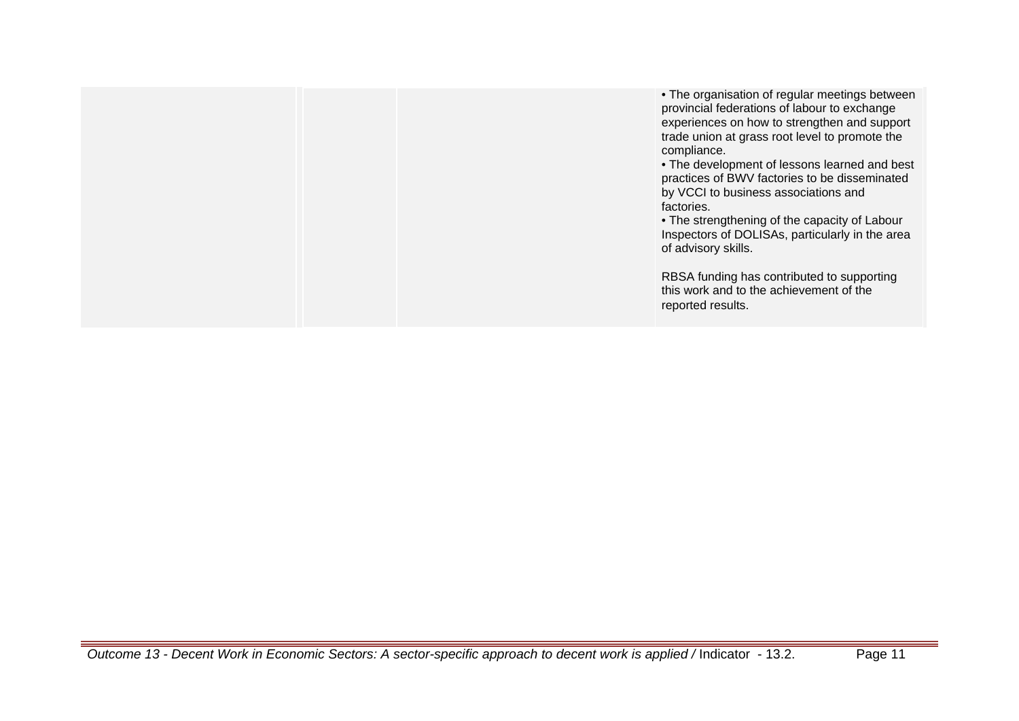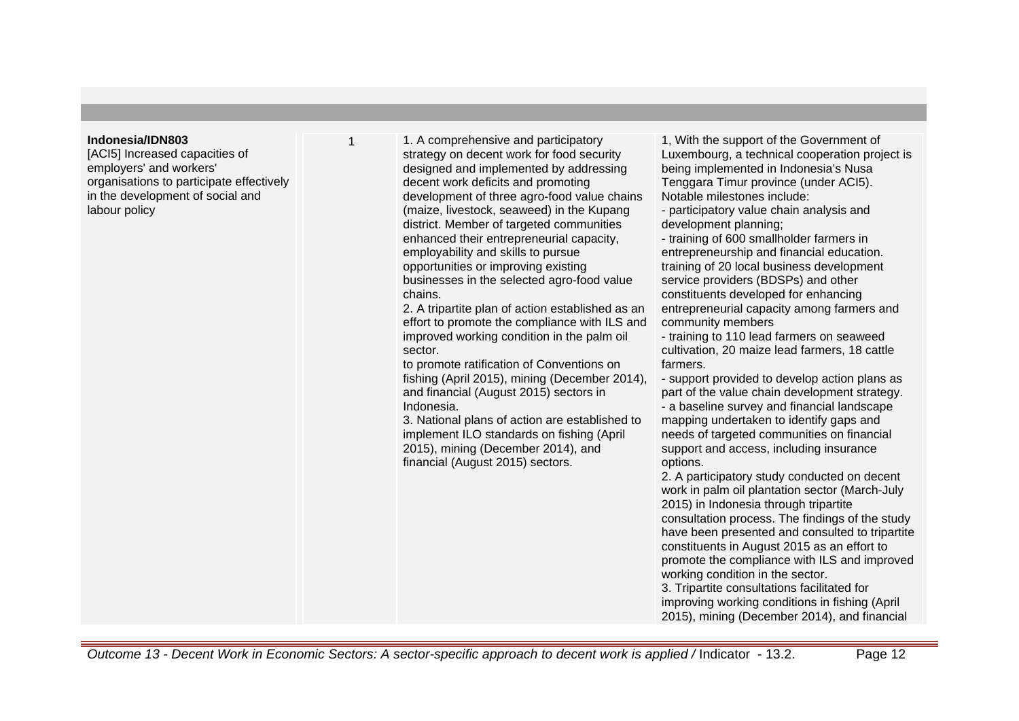#### **Indonesia/IDN803**

[ACI5] Increased capacities of employers' and workers' organisations to participate effectively in the development of social and labour policy

1 1. A comprehensive and participatory strategy on decent work for food security designed and implemented by addressing decent work deficits and promoting development of three agro-food value chains (maize, livestock, seaweed) in the Kupang district. Member of targeted communities enhanced their entrepreneurial capacity, employability and skills to pursue opportunities or improving existing businesses in the selected agro-food value chains.

2. A tripartite plan of action established as an effort to promote the compliance with ILS and improved working condition in the palm oil sector.

to promote ratification of Conventions on fishing (April 2015), mining (December 2014), and financial (August 2015) sectors in Indonesia.

3. National plans of action are established to implement ILO standards on fishing (April 2015), mining (December 2014), and financial (August 2015) sectors.

1, With the support of the Government of Luxembourg, a technical cooperation project is being implemented in Indonesia's Nusa Tenggara Timur province (under ACI5). Notable milestones include:

- participatory value chain analysis and development planning;

- training of 600 smallholder farmers in entrepreneurship and financial education. training of 20 local business development service providers (BDSPs) and other constituents developed for enhancing entrepreneurial capacity among farmers and community members

- training to 110 lead farmers on seaweed cultivation, 20 maize lead farmers, 18 cattle farmers.

- support provided to develop action plans as part of the value chain development strategy.

- a baseline survey and financial landscape mapping undertaken to identify gaps and needs of targeted communities on financial support and access, including insurance options.

2. A participatory study conducted on decent work in palm oil plantation sector (March-July 2015) in Indonesia through tripartite consultation process. The findings of the study have been presented and consulted to tripartite constituents in August 2015 as an effort to promote the compliance with ILS and improved working condition in the sector.

3. Tripartite consultations facilitated for improving working conditions in fishing (April 2015), mining (December 2014), and financial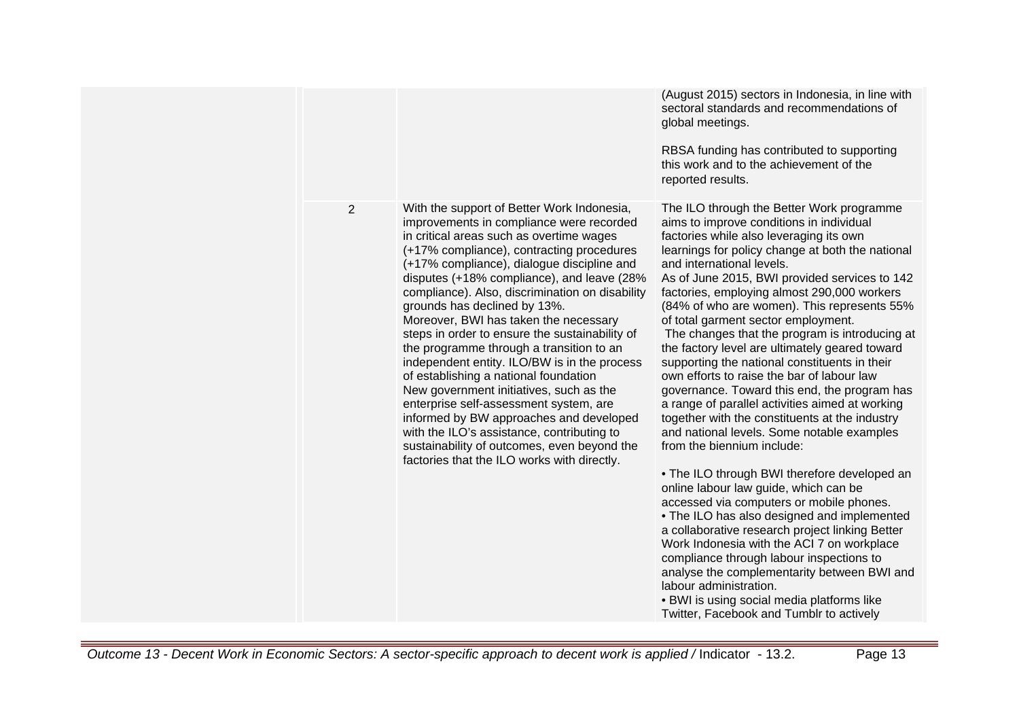|                |                                                                                                                                                                                                                                                                                                                                                                                                                                                                                                                                                                                                                                                                                                                                                                                                                                                                            | (August 2015) sectors in Indonesia, in line with<br>sectoral standards and recommendations of<br>global meetings.<br>RBSA funding has contributed to supporting<br>this work and to the achievement of the<br>reported results.                                                                                                                                                                                                                                                                                                                                                                                                                                                                                                                                                                                                                                                                                                                                                                                                                                                                                                                                                                                                                                                                                                                 |
|----------------|----------------------------------------------------------------------------------------------------------------------------------------------------------------------------------------------------------------------------------------------------------------------------------------------------------------------------------------------------------------------------------------------------------------------------------------------------------------------------------------------------------------------------------------------------------------------------------------------------------------------------------------------------------------------------------------------------------------------------------------------------------------------------------------------------------------------------------------------------------------------------|-------------------------------------------------------------------------------------------------------------------------------------------------------------------------------------------------------------------------------------------------------------------------------------------------------------------------------------------------------------------------------------------------------------------------------------------------------------------------------------------------------------------------------------------------------------------------------------------------------------------------------------------------------------------------------------------------------------------------------------------------------------------------------------------------------------------------------------------------------------------------------------------------------------------------------------------------------------------------------------------------------------------------------------------------------------------------------------------------------------------------------------------------------------------------------------------------------------------------------------------------------------------------------------------------------------------------------------------------|
| $\overline{2}$ | With the support of Better Work Indonesia,<br>improvements in compliance were recorded<br>in critical areas such as overtime wages<br>(+17% compliance), contracting procedures<br>(+17% compliance), dialogue discipline and<br>disputes (+18% compliance), and leave (28%<br>compliance). Also, discrimination on disability<br>grounds has declined by 13%.<br>Moreover, BWI has taken the necessary<br>steps in order to ensure the sustainability of<br>the programme through a transition to an<br>independent entity. ILO/BW is in the process<br>of establishing a national foundation<br>New government initiatives, such as the<br>enterprise self-assessment system, are<br>informed by BW approaches and developed<br>with the ILO's assistance, contributing to<br>sustainability of outcomes, even beyond the<br>factories that the ILO works with directly. | The ILO through the Better Work programme<br>aims to improve conditions in individual<br>factories while also leveraging its own<br>learnings for policy change at both the national<br>and international levels.<br>As of June 2015, BWI provided services to 142<br>factories, employing almost 290,000 workers<br>(84% of who are women). This represents 55%<br>of total garment sector employment.<br>The changes that the program is introducing at<br>the factory level are ultimately geared toward<br>supporting the national constituents in their<br>own efforts to raise the bar of labour law<br>governance. Toward this end, the program has<br>a range of parallel activities aimed at working<br>together with the constituents at the industry<br>and national levels. Some notable examples<br>from the biennium include:<br>• The ILO through BWI therefore developed an<br>online labour law guide, which can be<br>accessed via computers or mobile phones.<br>. The ILO has also designed and implemented<br>a collaborative research project linking Better<br>Work Indonesia with the ACI 7 on workplace<br>compliance through labour inspections to<br>analyse the complementarity between BWI and<br>labour administration.<br>• BWI is using social media platforms like<br>Twitter, Facebook and Tumblr to actively |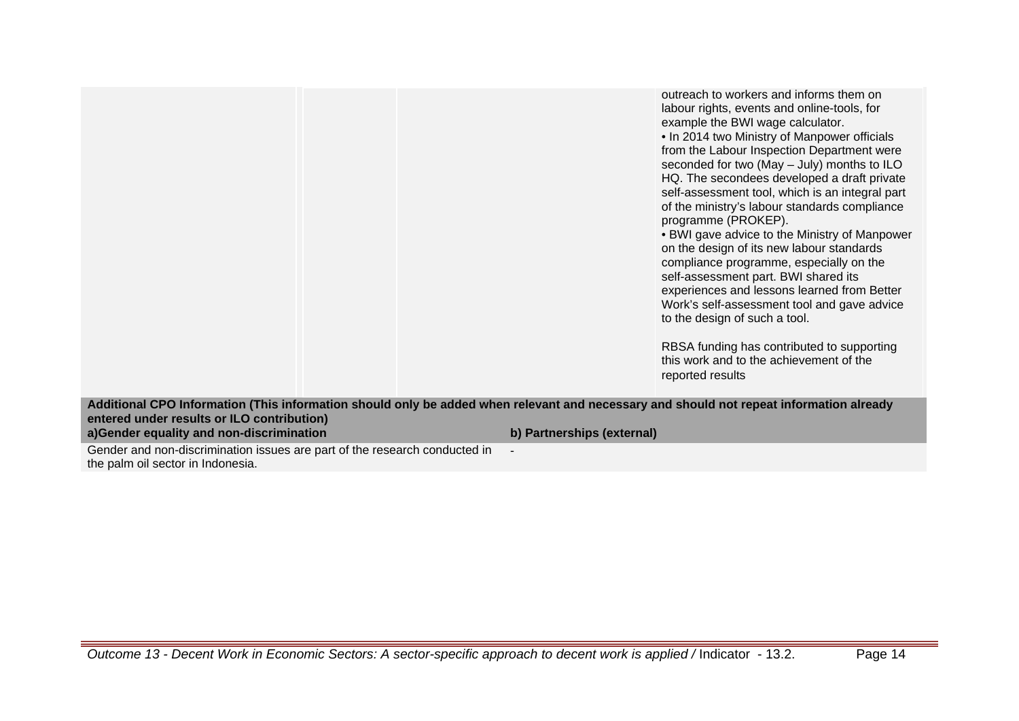outreach to workers and informs them on labour rights, events and online-tools, for example the BWI wage calculator.

• In 2014 two Ministry of Manpower officials from the Labour Inspection Department were seconded for two (May – July) months to ILO HQ. The secondees developed a draft private self-assessment tool, which is an integral part of the ministry's labour standards compliance programme (PROKEP).

• BWI gave advice to the Ministry of Manpower on the design of its new labour standards compliance programme, especially on the self-assessment part. BWI shared its experiences and lessons learned from Better Work's self-assessment tool and gave advice to the design of such a tool.

RBSA funding has contributed to supporting this work and to the achievement of the reported results

**Additional CPO Information (This information should only be added when relevant and necessary and should not repeat information already entered under results or ILO contribution) a)Gender equality and non-discrimination b) Partnerships (external)** Gender and non-discrimination issues are part of the research conducted in the palm oil sector in Indonesia. -

Outcome 13 - Decent Work in Economic Sectors: A sector-specific approach to decent work is applied / Indicator - 13.2. Page 14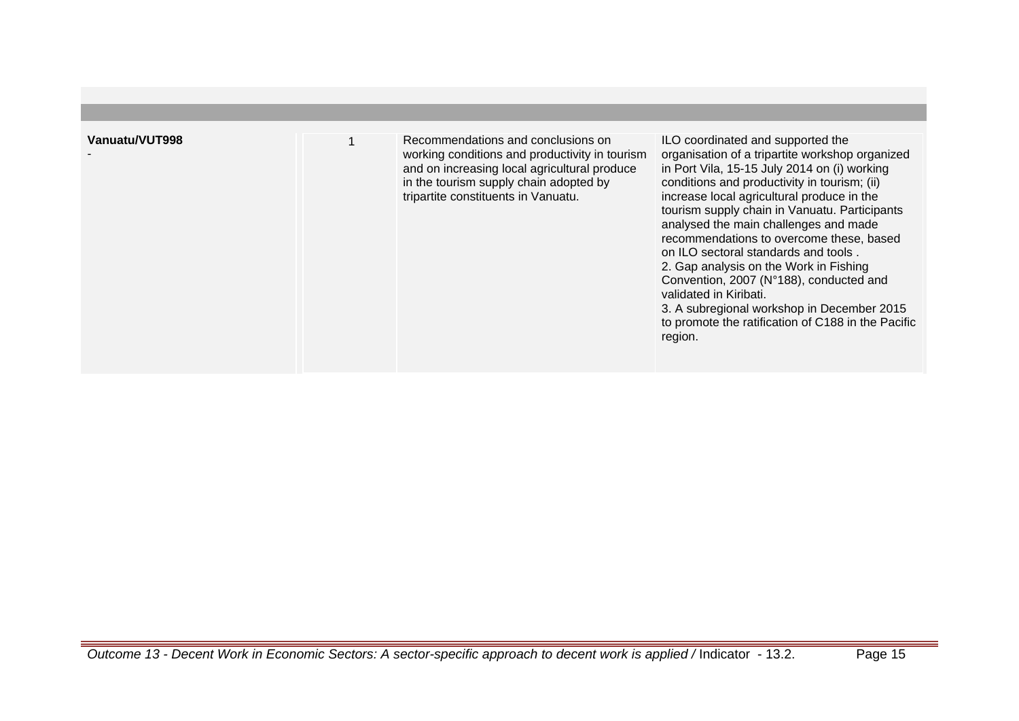| Vanuatu/VUT998 | Recommendations and conclusions on<br>working conditions and productivity in tourism<br>and on increasing local agricultural produce<br>in the tourism supply chain adopted by<br>tripartite constituents in Vanuatu. | ILO coordinated and supported the<br>organisation of a tripartite workshop organized<br>in Port Vila, 15-15 July 2014 on (i) working<br>conditions and productivity in tourism; (ii)<br>increase local agricultural produce in the<br>tourism supply chain in Vanuatu. Participants<br>analysed the main challenges and made<br>recommendations to overcome these, based<br>on ILO sectoral standards and tools.<br>2. Gap analysis on the Work in Fishing<br>Convention, 2007 (N°188), conducted and<br>validated in Kiribati.<br>3. A subregional workshop in December 2015<br>to promote the ratification of C188 in the Pacific<br>region. |
|----------------|-----------------------------------------------------------------------------------------------------------------------------------------------------------------------------------------------------------------------|------------------------------------------------------------------------------------------------------------------------------------------------------------------------------------------------------------------------------------------------------------------------------------------------------------------------------------------------------------------------------------------------------------------------------------------------------------------------------------------------------------------------------------------------------------------------------------------------------------------------------------------------|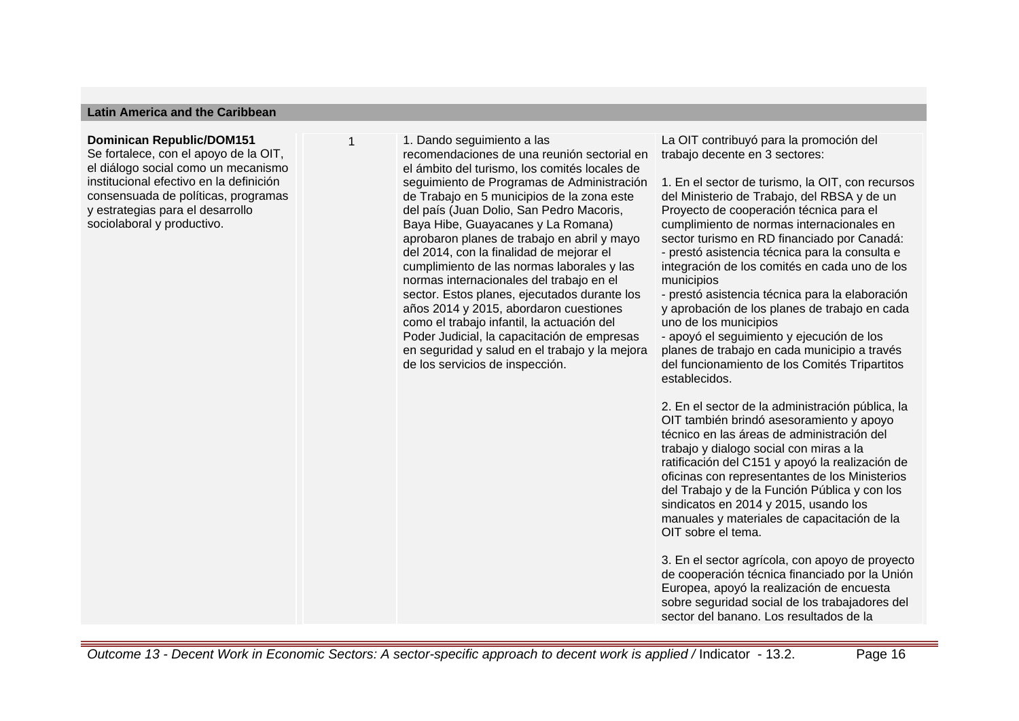#### **Latin America and the Caribbean**

#### **Dominican Republic/DOM151**

Se fortalece, con el apoyo de la OIT, el diálogo social como un mecanismo institucional efectivo en la definición consensuada de políticas, programas y estrategias para el desarrollo sociolaboral y productivo.

1. Dando seguimiento a las recomendaciones de una reunión sectorial en el ámbito del turismo, los comités locales de seguimiento de Programas de Administración de Trabajo en 5 municipios de la zona este del país (Juan Dolio, San Pedro Macoris, Baya Hibe, Guayacanes y La Romana) aprobaron planes de trabajo en abril y mayo del 2014, con la finalidad de mejorar el cumplimiento de las normas laborales y las normas internacionales del trabajo en el sector. Estos planes, ejecutados durante los años 2014 y 2015, abordaron cuestiones como el trabajo infantil, la actuación del Poder Judicial, la capacitación de empresas en seguridad y salud en el trabajo y la mejora de los servicios de inspección.

La OIT contribuyó para la promoción del trabajo decente en 3 sectores:

1. En el sector de turismo, la OIT, con recursos del Ministerio de Trabajo, del RBSA y de un Proyecto de cooperación técnica para el cumplimiento de normas internacionales en sector turismo en RD financiado por Canadá: - prestó asistencia técnica para la consulta e integración de los comités en cada uno de los municipios

- prestó asistencia técnica para la elaboración y aprobación de los planes de trabajo en cada uno de los municipios

- apoyó el seguimiento y ejecución de los planes de trabajo en cada municipio a través del funcionamiento de los Comités Tripartitos establecidos.

2. En el sector de la administración pública, la OIT también brindó asesoramiento y apoyo técnico en las áreas de administración del trabajo y dialogo social con miras a la ratificación del C151 y apoyó la realización de oficinas con representantes de los Ministerios del Trabajo y de la Función Pública y con los sindicatos en 2014 y 2015, usando los manuales y materiales de capacitación de la OIT sobre el tema.

3. En el sector agrícola, con apoyo de proyecto de cooperación técnica financiado por la Unión Europea, apoyó la realización de encuesta sobre seguridad social de los trabajadores del sector del banano. Los resultados de la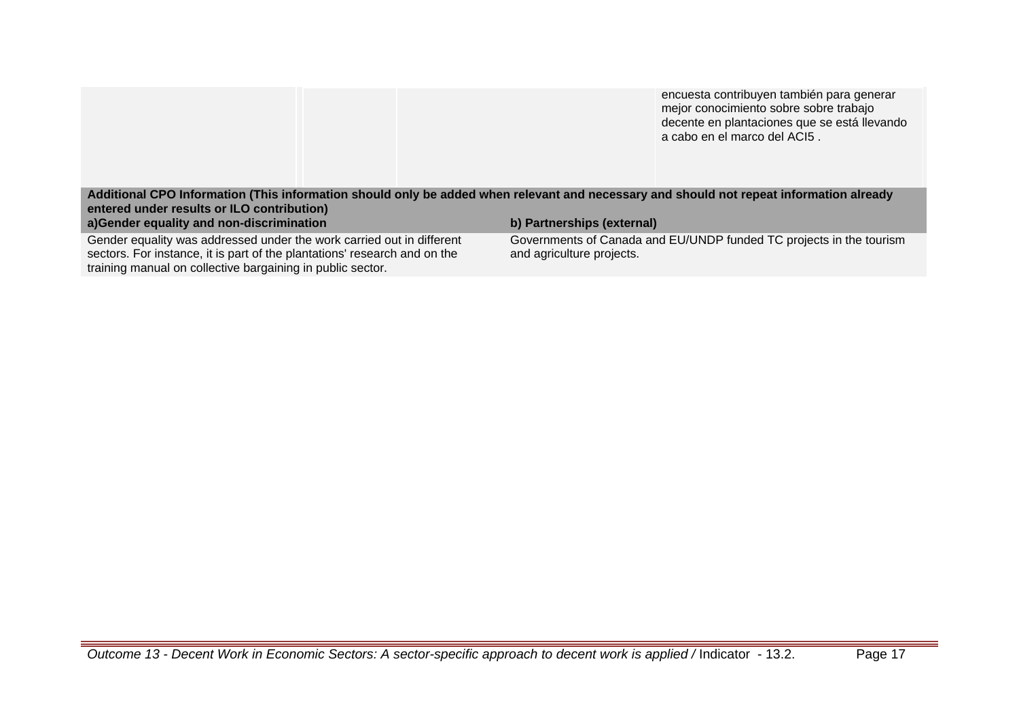|                                                                                                                                                                                                                  | encuesta contribuyen también para generar<br>mejor conocimiento sobre sobre trabajo<br>decente en plantaciones que se está llevando<br>a cabo en el marco del ACI5. |  |
|------------------------------------------------------------------------------------------------------------------------------------------------------------------------------------------------------------------|---------------------------------------------------------------------------------------------------------------------------------------------------------------------|--|
| Additional CPO Information (This information should only be added when relevant and necessary and should not repeat information already<br>entered under results or ILO contribution)                            |                                                                                                                                                                     |  |
| a)Gender equality and non-discrimination                                                                                                                                                                         | b) Partnerships (external)                                                                                                                                          |  |
| Gender equality was addressed under the work carried out in different<br>sectors. For instance, it is part of the plantations' research and on the<br>training manual on collective bargaining in public sector. | Governments of Canada and EU/UNDP funded TC projects in the tourism<br>and agriculture projects.                                                                    |  |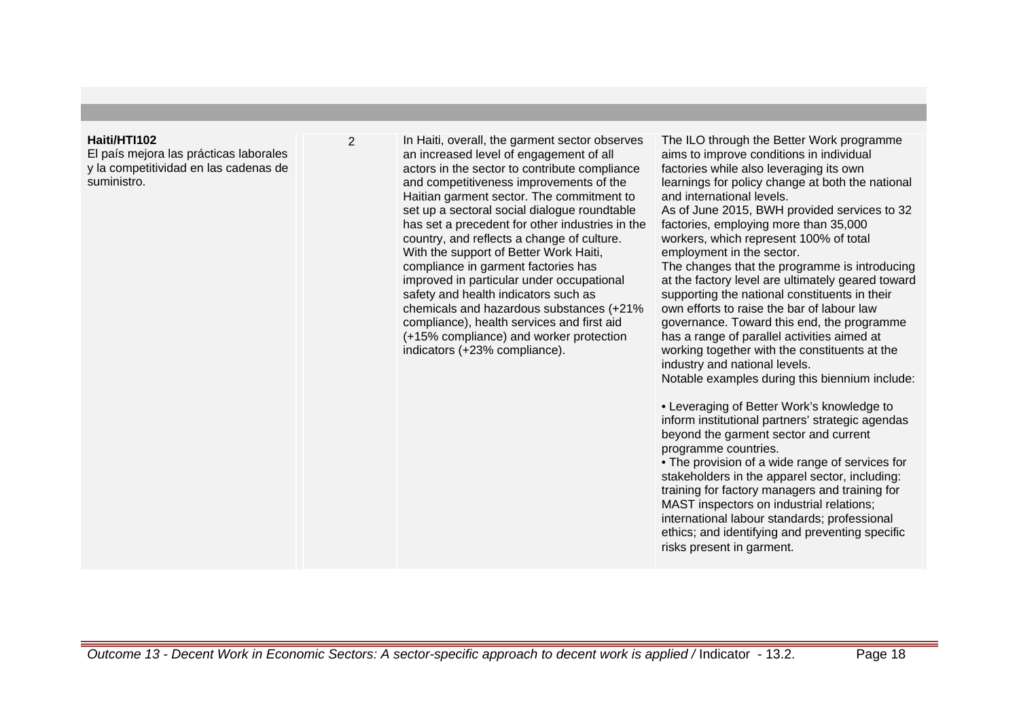### **Haiti/HTI102**

El país mejora las prácticas laborales y la competitividad en las cadenas de suministro.

2 In Haiti, overall, the garment sector observes an increased level of engagement of all actors in the sector to contribute compliance and competitiveness improvements of the Haitian garment sector. The commitment to set up a sectoral social dialogue roundtable has set a precedent for other industries in the country, and reflects a change of culture. With the support of Better Work Haiti, compliance in garment factories has improved in particular under occupational safety and health indicators such as chemicals and hazardous substances (+21% compliance), health services and first aid (+15% compliance) and worker protection indicators (+23% compliance).

The ILO through the Better Work programme aims to improve conditions in individual factories while also leveraging its own learnings for policy change at both the national and international levels.

As of June 2015, BWH provided services to 32 factories, employing more than 35,000 workers, which represent 100% of total employment in the sector.

The changes that the programme is introducing at the factory level are ultimately geared toward supporting the national constituents in their own efforts to raise the bar of labour law governance. Toward this end, the programme has a range of parallel activities aimed at working together with the constituents at the industry and national levels.

Notable examples during this biennium include:

• Leveraging of Better Work's knowledge to inform institutional partners' strategic agendas beyond the garment sector and current programme countries.

• The provision of a wide range of services for stakeholders in the apparel sector, including: training for factory managers and training for MAST inspectors on industrial relations; international labour standards; professional ethics; and identifying and preventing specific risks present in garment.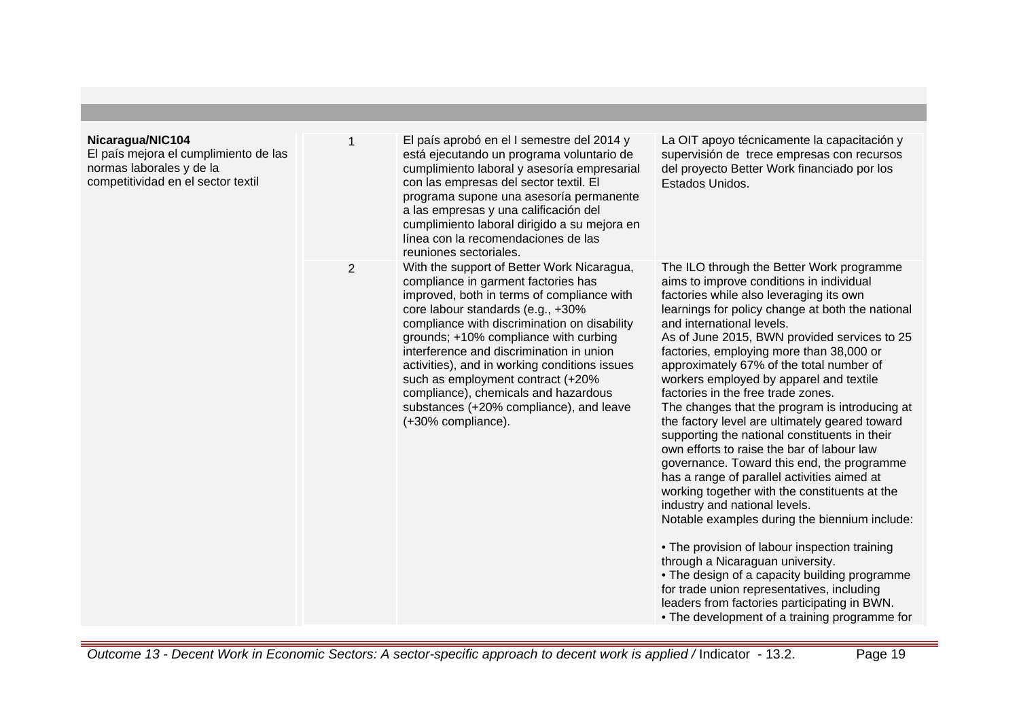| Nicaragua/NIC104<br>El país mejora el cumplimiento de las<br>normas laborales y de la<br>competitividad en el sector textil |   | El país aprobó en el I semestre del 2014 y<br>está ejecutando un programa voluntario de<br>cumplimiento laboral y asesoría empresarial<br>con las empresas del sector textil. El<br>programa supone una asesoría permanente<br>a las empresas y una calificación del<br>cumplimiento laboral dirigido a su mejora en<br>línea con la recomendaciones de las<br>reuniones sectoriales.                                                                                                                    | La OIT apoyo técnicamente la capacitación y<br>supervisión de trece empresas con recursos<br>del proyecto Better Work financiado por los<br>Estados Unidos.                                                                                                                                                                                                                                                                                                                                                                                                                                                                                                                                                                                                                                                                                                                                                                                                                                                                                                                                                                                                        |
|-----------------------------------------------------------------------------------------------------------------------------|---|----------------------------------------------------------------------------------------------------------------------------------------------------------------------------------------------------------------------------------------------------------------------------------------------------------------------------------------------------------------------------------------------------------------------------------------------------------------------------------------------------------|--------------------------------------------------------------------------------------------------------------------------------------------------------------------------------------------------------------------------------------------------------------------------------------------------------------------------------------------------------------------------------------------------------------------------------------------------------------------------------------------------------------------------------------------------------------------------------------------------------------------------------------------------------------------------------------------------------------------------------------------------------------------------------------------------------------------------------------------------------------------------------------------------------------------------------------------------------------------------------------------------------------------------------------------------------------------------------------------------------------------------------------------------------------------|
|                                                                                                                             | 2 | With the support of Better Work Nicaragua,<br>compliance in garment factories has<br>improved, both in terms of compliance with<br>core labour standards (e.g., +30%<br>compliance with discrimination on disability<br>grounds; +10% compliance with curbing<br>interference and discrimination in union<br>activities), and in working conditions issues<br>such as employment contract (+20%<br>compliance), chemicals and hazardous<br>substances (+20% compliance), and leave<br>(+30% compliance). | The ILO through the Better Work programme<br>aims to improve conditions in individual<br>factories while also leveraging its own<br>learnings for policy change at both the national<br>and international levels.<br>As of June 2015, BWN provided services to 25<br>factories, employing more than 38,000 or<br>approximately 67% of the total number of<br>workers employed by apparel and textile<br>factories in the free trade zones.<br>The changes that the program is introducing at<br>the factory level are ultimately geared toward<br>supporting the national constituents in their<br>own efforts to raise the bar of labour law<br>governance. Toward this end, the programme<br>has a range of parallel activities aimed at<br>working together with the constituents at the<br>industry and national levels.<br>Notable examples during the biennium include:<br>• The provision of labour inspection training<br>through a Nicaraguan university.<br>• The design of a capacity building programme<br>for trade union representatives, including<br>leaders from factories participating in BWN.<br>• The development of a training programme for |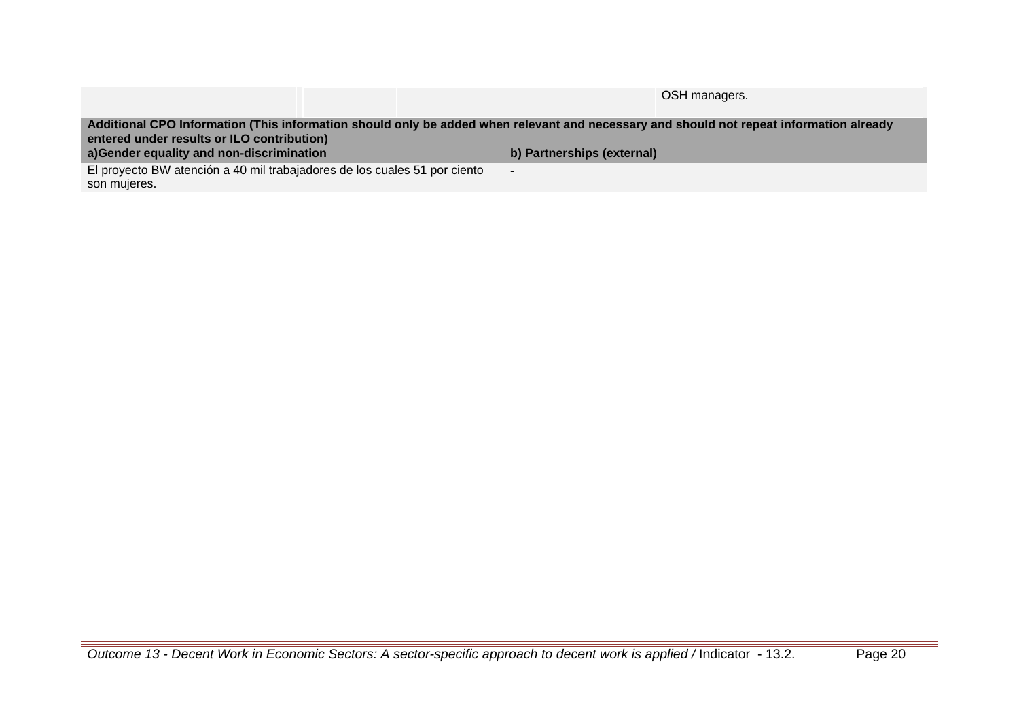|                                                                                                                                         | OSH managers.              |  |  |  |
|-----------------------------------------------------------------------------------------------------------------------------------------|----------------------------|--|--|--|
|                                                                                                                                         |                            |  |  |  |
| Additional CPO Information (This information should only be added when relevant and necessary and should not repeat information already |                            |  |  |  |
| entered under results or ILO contribution)                                                                                              |                            |  |  |  |
|                                                                                                                                         |                            |  |  |  |
| a)Gender equality and non-discrimination                                                                                                | b) Partnerships (external) |  |  |  |
| El proyecto BW atención a 40 mil trabajadores de los cuales 51 por ciento                                                               | $\overline{\phantom{a}}$   |  |  |  |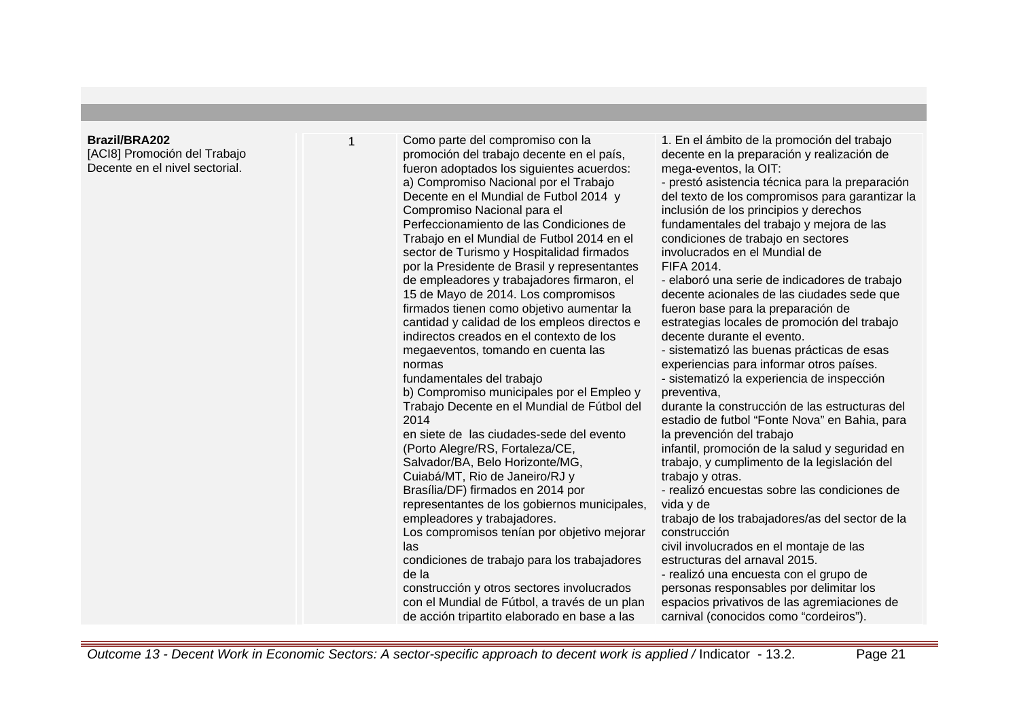#### **Brazil/BRA202**

[ACI8] Promoción del Trabajo Decente en el nivel sectorial.

1 Como parte del compromiso con la promoción del trabajo decente en el país, fueron adoptados los siguientes acuerdos: a) Compromiso Nacional por el Trabajo Decente en el Mundial de Futbol 2014 y Compromiso Nacional para el Perfeccionamiento de las Condiciones de Trabajo en el Mundial de Futbol 2014 en el sector de Turismo y Hospitalidad firmados por la Presidente de Brasil y representantes de empleadores y trabajadores firmaron, el 15 de Mayo de 2014. Los compromisos firmados tienen como objetivo aumentar la cantidad y calidad de los empleos directos e indirectos creados en el contexto de los megaeventos, tomando en cuenta las normas fundamentales del trabajo b) Compromiso municipales por el Empleo y Trabajo Decente en el Mundial de Fútbol del 2014 en siete de las ciudades-sede del evento (Porto Alegre/RS, Fortaleza/CE, Salvador/BA, Belo Horizonte/MG, Cuiabá/MT, Rio de Janeiro/RJ y Brasília/DF) firmados en 2014 por representantes de los gobiernos municipales, empleadores y trabajadores. Los compromisos tenían por objetivo mejorar las condiciones de trabajo para los trabajadores de la construcción y otros sectores involucrados con el Mundial de Fútbol, a través de un plan de acción tripartito elaborado en base a las

1. En el ámbito de la promoción del trabajo decente en la preparación y realización de mega-eventos, la OIT:

- prestó asistencia técnica para la preparación del texto de los compromisos para garantizar la inclusión de los principios y derechos fundamentales del trabajo y mejora de las condiciones de trabajo en sectores involucrados en el Mundial de FIFA 2014.

- elaboró una serie de indicadores de trabajo decente acionales de las ciudades sede que fueron base para la preparación de estrategias locales de promoción del trabajo decente durante el evento.

- sistematizó las buenas prácticas de esas experiencias para informar otros países.

- sistematizó la experiencia de inspección preventiva,

durante la construcción de las estructuras del estadio de futbol "Fonte Nova" en Bahia, para la prevención del trabajo

infantil, promoción de la salud y seguridad en trabajo, y cumplimento de la legislación del trabajo y otras.

- realizó encuestas sobre las condiciones de vida y de

trabajo de los trabajadores/as del sector de la construcción

civil involucrados en el montaje de las estructuras del arnaval 2015.

- realizó una encuesta con el grupo de personas responsables por delimitar los espacios privativos de las agremiaciones de carnival (conocidos como "cordeiros").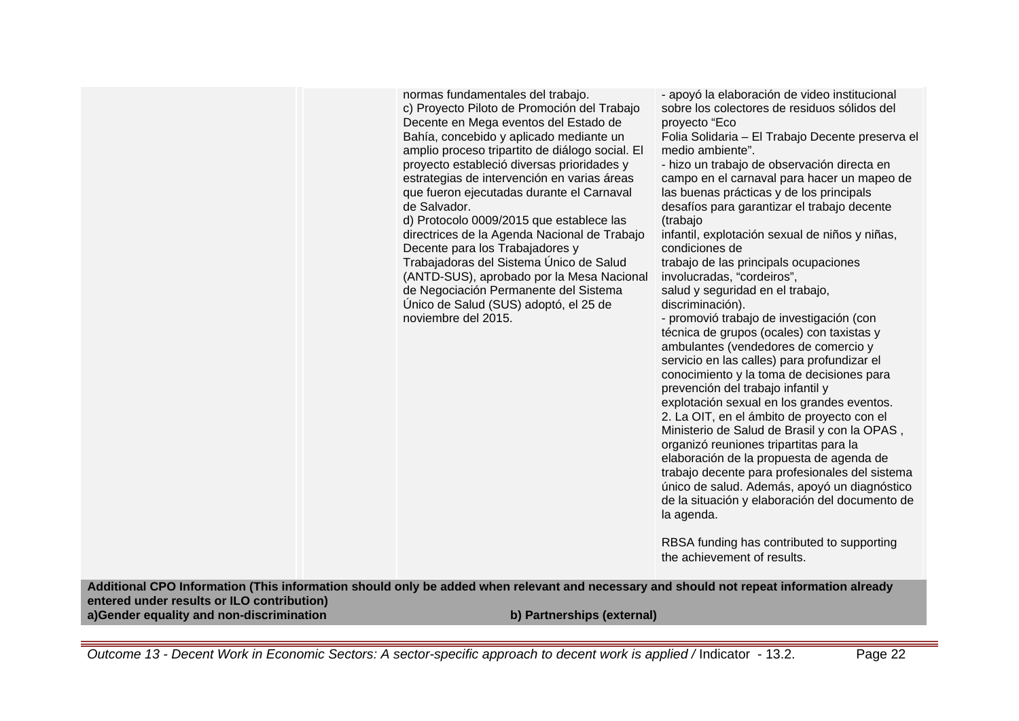normas fundamentales del trabajo. c) Proyecto Piloto de Promoción del Trabajo Decente en Mega eventos del Estado de Bahía, concebido y aplicado mediante un amplio proceso tripartito de diálogo social. El proyecto estableció diversas prioridades y estrategias de intervención en varias áreas que fueron ejecutadas durante el Carnaval de Salvador.

d) Protocolo 0009/2015 que establece las directrices de la Agenda Nacional de Trabajo Decente para los Trabajadores y Trabajadoras del Sistema Único de Salud (ANTD-SUS), aprobado por la Mesa Nacional de Negociación Permanente del Sistema Único de Salud (SUS) adoptó, el 25 de noviembre del 2015.

- apoyó la elaboración de video institucional sobre los colectores de residuos sólidos del proyecto "Eco

Folia Solidaria – El Trabajo Decente preserva el medio ambiente".

- hizo un trabajo de observación directa en campo en el carnaval para hacer un mapeo de las buenas prácticas y de los principals desafíos para garantizar el trabajo decente (trabajo

infantil, explotación sexual de niños y niñas, condiciones de

trabajo de las principals ocupaciones involucradas, "cordeiros",

salud y seguridad en el trabajo, discriminación).

- promovió trabajo de investigación (con técnica de grupos (ocales) con taxistas y ambulantes (vendedores de comercio y servicio en las calles) para profundizar el conocimiento y la toma de decisiones para prevención del trabajo infantil y explotación sexual en los grandes eventos. 2. La OIT, en el ámbito de proyecto con el Ministerio de Salud de Brasil y con la OPAS , organizó reuniones tripartitas para la elaboración de la propuesta de agenda de trabajo decente para profesionales del sistema único de salud. Además, apoyó un diagnóstico de la situación y elaboración del documento de la agenda.

RBSA funding has contributed to supporting the achievement of results.

**Additional CPO Information (This information should only be added when relevant and necessary and should not repeat information already entered under results or ILO contribution) a)Gender equality and non-discrimination b) Partnerships (external)**